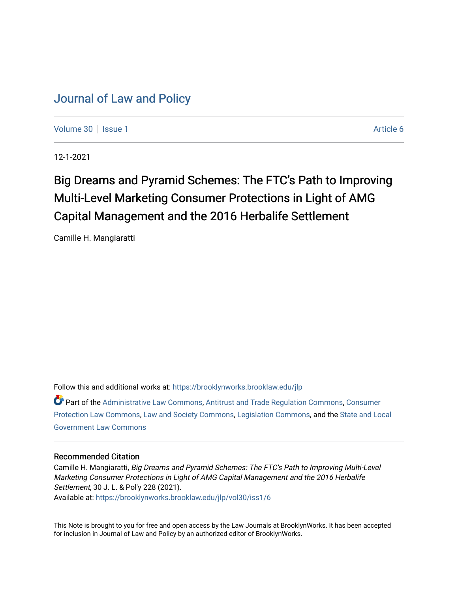# [Journal of Law and Policy](https://brooklynworks.brooklaw.edu/jlp)

[Volume 30](https://brooklynworks.brooklaw.edu/jlp/vol30) | [Issue 1](https://brooklynworks.brooklaw.edu/jlp/vol30/iss1) Article 6

12-1-2021

# Big Dreams and Pyramid Schemes: The FTC's Path to Improving Multi-Level Marketing Consumer Protections in Light of AMG Capital Management and the 2016 Herbalife Settlement

Camille H. Mangiaratti

Follow this and additional works at: [https://brooklynworks.brooklaw.edu/jlp](https://brooklynworks.brooklaw.edu/jlp?utm_source=brooklynworks.brooklaw.edu%2Fjlp%2Fvol30%2Fiss1%2F6&utm_medium=PDF&utm_campaign=PDFCoverPages) 

Part of the [Administrative Law Commons,](http://network.bepress.com/hgg/discipline/579?utm_source=brooklynworks.brooklaw.edu%2Fjlp%2Fvol30%2Fiss1%2F6&utm_medium=PDF&utm_campaign=PDFCoverPages) [Antitrust and Trade Regulation Commons,](http://network.bepress.com/hgg/discipline/911?utm_source=brooklynworks.brooklaw.edu%2Fjlp%2Fvol30%2Fiss1%2F6&utm_medium=PDF&utm_campaign=PDFCoverPages) [Consumer](http://network.bepress.com/hgg/discipline/838?utm_source=brooklynworks.brooklaw.edu%2Fjlp%2Fvol30%2Fiss1%2F6&utm_medium=PDF&utm_campaign=PDFCoverPages)  [Protection Law Commons](http://network.bepress.com/hgg/discipline/838?utm_source=brooklynworks.brooklaw.edu%2Fjlp%2Fvol30%2Fiss1%2F6&utm_medium=PDF&utm_campaign=PDFCoverPages), [Law and Society Commons,](http://network.bepress.com/hgg/discipline/853?utm_source=brooklynworks.brooklaw.edu%2Fjlp%2Fvol30%2Fiss1%2F6&utm_medium=PDF&utm_campaign=PDFCoverPages) [Legislation Commons,](http://network.bepress.com/hgg/discipline/859?utm_source=brooklynworks.brooklaw.edu%2Fjlp%2Fvol30%2Fiss1%2F6&utm_medium=PDF&utm_campaign=PDFCoverPages) and the [State and Local](http://network.bepress.com/hgg/discipline/879?utm_source=brooklynworks.brooklaw.edu%2Fjlp%2Fvol30%2Fiss1%2F6&utm_medium=PDF&utm_campaign=PDFCoverPages)  [Government Law Commons](http://network.bepress.com/hgg/discipline/879?utm_source=brooklynworks.brooklaw.edu%2Fjlp%2Fvol30%2Fiss1%2F6&utm_medium=PDF&utm_campaign=PDFCoverPages) 

#### Recommended Citation

Camille H. Mangiaratti, Big Dreams and Pyramid Schemes: The FTC's Path to Improving Multi-Level Marketing Consumer Protections in Light of AMG Capital Management and the 2016 Herbalife Settlement, 30 J. L. & Pol'y 228 (2021). Available at: [https://brooklynworks.brooklaw.edu/jlp/vol30/iss1/6](https://brooklynworks.brooklaw.edu/jlp/vol30/iss1/6?utm_source=brooklynworks.brooklaw.edu%2Fjlp%2Fvol30%2Fiss1%2F6&utm_medium=PDF&utm_campaign=PDFCoverPages)

This Note is brought to you for free and open access by the Law Journals at BrooklynWorks. It has been accepted for inclusion in Journal of Law and Policy by an authorized editor of BrooklynWorks.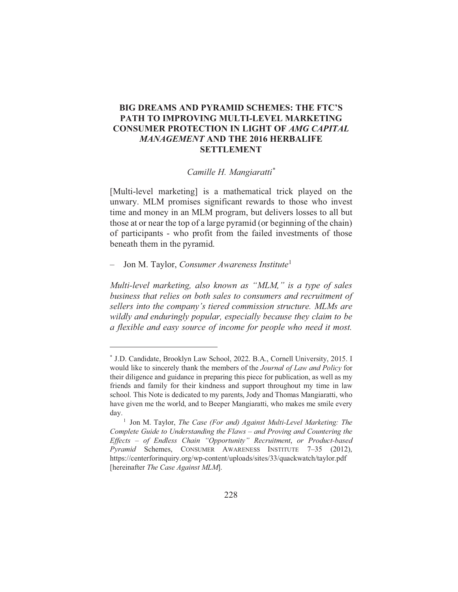# BIG DREAMS AND PYRAMID SCHEMES: THE FTC'S PATH TO IMPROVING MULTI-LEVEL MARKETING **CONSUMER PROTECTION IN LIGHT OF AMG CAPITAL MANAGEMENT AND THE 2016 HERBALIFE SETTLEMENT**

#### Camille H. Mangiaratti\*

[Multi-level marketing] is a mathematical trick played on the unwary. MLM promises significant rewards to those who invest time and money in an MLM program, but delivers losses to all but those at or near the top of a large pyramid (or beginning of the chain) of participants - who profit from the failed investments of those beneath them in the pyramid.

Jon M. Taylor, Consumer Awareness Institute<sup>1</sup>  $\overline{\phantom{0}}$ 

Multi-level marketing, also known as "MLM," is a type of sales business that relies on both sales to consumers and recruitment of sellers into the company's tiered commission structure. MLMs are wildly and enduringly popular, especially because they claim to be a flexible and easy source of income for people who need it most.

<sup>\*</sup> J.D. Candidate, Brooklyn Law School, 2022. B.A., Cornell University, 2015. I would like to sincerely thank the members of the Journal of Law and Policy for their diligence and guidance in preparing this piece for publication, as well as my friends and family for their kindness and support throughout my time in law school. This Note is dedicated to my parents, Jody and Thomas Mangiaratti, who have given me the world, and to Beeper Mangiaratti, who makes me smile every day.

<sup>&</sup>lt;sup>1</sup> Jon M. Taylor, *The Case (For and) Against Multi-Level Marketing: The* Complete Guide to Understanding the Flaws - and Proving and Countering the Effects - of Endless Chain "Opportunity" Recruitment, or Product-based Pyramid Schemes, CONSUMER AWARENESS INSTITUTE 7-35 (2012), https://centerforinquiry.org/wp-content/uploads/sites/33/quackwatch/taylor.pdf [hereinafter The Case Against MLM].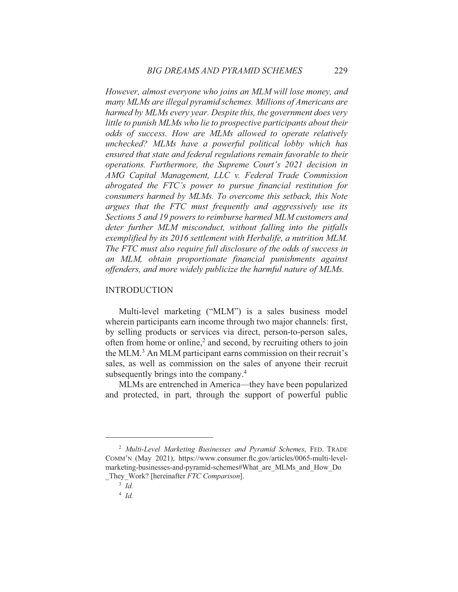However, almost everyone who joins an MLM will lose money, and many MLMs are illegal pyramid schemes. Millions of Americans are harmed by MLMs every year. Despite this, the government does very little to punish MLMs who lie to prospective participants about their odds of success. How are MLMs allowed to operate relatively unchecked? MLMs have a powerful political lobby which has ensured that state and federal regulations remain favorable to their operations. Furthermore, the Supreme Court's 2021 decision in AMG Capital Management, LLC v. Federal Trade Commission abrogated the FTC's power to pursue financial restitution for consumers harmed by MLMs. To overcome this setback, this Note argues that the FTC must frequently and aggressively use its Sections 5 and 19 powers to reimburse harmed MLM customers and deter further MLM misconduct, without falling into the pitfalls exemplified by its 2016 settlement with Herbalife, a nutrition MLM. The FTC must also require full disclosure of the odds of success in an MLM, obtain proportionate financial punishments against offenders, and more widely publicize the harmful nature of MLMs.

#### **INTRODUCTION**

Multi-level marketing ("MLM") is a sales business model wherein participants earn income through two major channels: first, by selling products or services via direct, person-to-person sales, often from home or online,<sup>2</sup> and second, by recruiting others to join the MLM.<sup>3</sup> An MLM participant earns commission on their recruit's sales, as well as commission on the sales of anyone their recruit subsequently brings into the company.<sup>4</sup>

MLMs are entrenched in America—they have been popularized and protected, in part, through the support of powerful public

<sup>&</sup>lt;sup>2</sup> Multi-Level Marketing Businesses and Pyramid Schemes, FED. TRADE COMM'N (May 2021), https://www.consumer.ftc.gov/articles/0065-multi-levelmarketing-businesses-and-pyramid-schemes#What are MLMs and How Do They Work? [hereinafter FTC Comparison].

 $3$  Id.

 $4$  Id.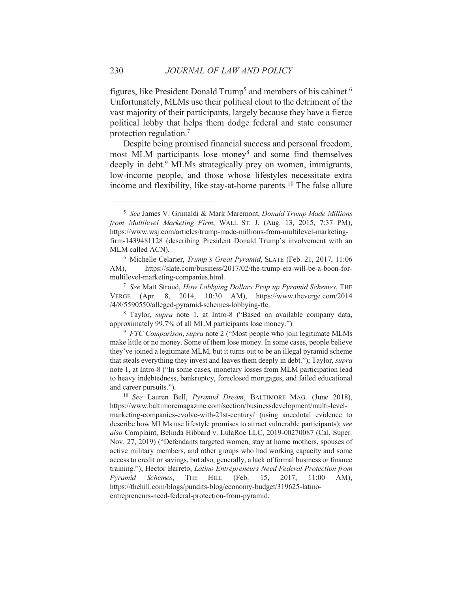figures, like President Donald Trump<sup>5</sup> and members of his cabinet.<sup>6</sup> Unfortunately, MLMs use their political clout to the detriment of the vast majority of their participants, largely because they have a fierce political lobby that helps them dodge federal and state consumer protection regulation.<sup>7</sup>

Despite being promised financial success and personal freedom, most MLM participants lose money<sup>8</sup> and some find themselves deeply in debt.<sup>9</sup> MLMs strategically prey on women, immigrants, low-income people, and those whose lifestyles necessitate extra income and flexibility, like stay-at-home parents.<sup>10</sup> The false allure

<sup>&</sup>lt;sup>5</sup> See James V. Grimaldi & Mark Maremont, Donald Trump Made Millions from Multilevel Marketing Firm, WALL ST. J. (Aug. 13, 2015, 7:37 PM), https://www.wsj.com/articles/trump-made-millions-from-multilevel-marketingfirm-1439481128 (describing President Donald Trump's involvement with an MLM called ACN).

<sup>&</sup>lt;sup>6</sup> Michelle Celarier, Trump's Great Pyramid, SLATE (Feb. 21, 2017, 11:06 AM), https://slate.com/business/2017/02/the-trump-era-will-be-a-boon-formultilevel-marketing-companies.html.

<sup>&</sup>lt;sup>7</sup> See Matt Stroud, How Lobbying Dollars Prop up Pyramid Schemes, THE VERGE (Apr. 8, 2014, 10:30 AM), https://www.theverge.com/2014 /4/8/5590550/alleged-pyramid-schemes-lobbying-ftc.

<sup>&</sup>lt;sup>8</sup> Taylor, *supra* note 1, at Intro-8 ("Based on available company data, approximately 99.7% of all MLM participants lose money.").

<sup>&</sup>lt;sup>9</sup> FTC Comparison, supra note 2 ("Most people who join legitimate MLMs" make little or no money. Some of them lose money. In some cases, people believe they've joined a legitimate MLM, but it turns out to be an illegal pyramid scheme that steals everything they invest and leaves them deeply in debt."); Taylor, *supra* note 1, at Intro-8 ("In some cases, monetary losses from MLM participation lead to heavy indebtedness, bankruptcy, foreclosed mortgages, and failed educational and career pursuits.").

<sup>&</sup>lt;sup>10</sup> See Lauren Bell, *Pyramid Dream*, BALTIMORE MAG. (June 2018), https://www.baltimoremagazine.com/section/businessdevelopment/multi-levelmarketing-companies-evolve-with-21st-century/ (using anecdotal evidence to describe how MLMs use lifestyle promises to attract vulnerable participants); see also Complaint, Belinda Hibbard v. LulaRoe LLC, 2019-00270087 (Cal. Super. Nov. 27, 2019) ("Defendants targeted women, stay at home mothers, spouses of active military members, and other groups who had working capacity and some access to credit or savings, but also, generally, a lack of formal business or finance training."); Hector Barreto, Latino Entrepreneurs Need Federal Protection from Pyramid Schemes, THE **HILL** (Feb. 15. 2017, 11:00  $AM$ ), https://thehill.com/blogs/pundits-blog/economy-budget/319625-latinoentrepreneurs-need-federal-protection-from-pyramid.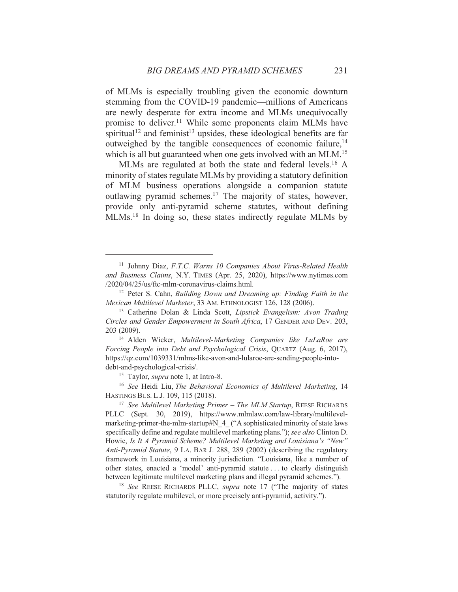of MLMs is especially troubling given the economic downturn stemming from the COVID-19 pandemic—millions of Americans are newly desperate for extra income and MLMs unequivocally promise to deliver.<sup>11</sup> While some proponents claim MLMs have spiritual<sup>12</sup> and feminist<sup>13</sup> upsides, these ideological benefits are far outweighed by the tangible consequences of economic failure,<sup>14</sup> which is all but guaranteed when one gets involved with an MLM.<sup>15</sup>

MLMs are regulated at both the state and federal levels.<sup>16</sup> A minority of states regulate MLMs by providing a statutory definition of MLM business operations alongside a companion statute outlawing pyramid schemes.<sup>17</sup> The majority of states, however, provide only anti-pyramid scheme statutes, without defining MLMs.<sup>18</sup> In doing so, these states indirectly regulate MLMs by

<sup>15</sup> Taylor, *supra* note 1, at Intro-8.

<sup>16</sup> See Heidi Liu, The Behavioral Economics of Multilevel Marketing, 14 HASTINGS BUS. L.J. 109, 115 (2018).

<sup>&</sup>lt;sup>11</sup> Johnny Diaz, F.T.C. Warns 10 Companies About Virus-Related Health and Business Claims, N.Y. TIMES (Apr. 25, 2020), https://www.nytimes.com /2020/04/25/us/ftc-mlm-coronavirus-claims.html.

<sup>&</sup>lt;sup>12</sup> Peter S. Cahn, *Building Down and Dreaming up: Finding Faith in the* Mexican Multilevel Marketer, 33 AM. ETHNOLOGIST 126, 128 (2006).

<sup>&</sup>lt;sup>13</sup> Catherine Dolan & Linda Scott, Lipstick Evangelism: Avon Trading Circles and Gender Empowerment in South Africa, 17 GENDER AND DEV. 203, 203 (2009).

<sup>&</sup>lt;sup>14</sup> Alden Wicker, Multilevel-Marketing Companies like LuLaRoe are Forcing People into Debt and Psychological Crisis, QUARTZ (Aug. 6, 2017), https://qz.com/1039331/mlms-like-avon-and-lularoe-are-sending-people-intodebt-and-psychological-crisis/.

<sup>&</sup>lt;sup>17</sup> See Multilevel Marketing Primer - The MLM Startup, REESE RICHARDS PLLC (Sept. 30, 2019), https://www.mlmlaw.com/law-library/multilevelmarketing-primer-the-mlm-startup#N 4 ("A sophisticated minority of state laws specifically define and regulate multilevel marketing plans."); see also Clinton D. Howie, Is It A Pyramid Scheme? Multilevel Marketing and Louisiana's "New" Anti-Pyramid Statute, 9 LA. BAR J. 288, 289 (2002) (describing the regulatory framework in Louisiana, a minority jurisdiction. "Louisiana, like a number of other states, enacted a 'model' anti-pyramid statute... to clearly distinguish between legitimate multilevel marketing plans and illegal pyramid schemes.").

<sup>&</sup>lt;sup>18</sup> See REESE RICHARDS PLLC, *supra* note 17 ("The majority of states statutorily regulate multilevel, or more precisely anti-pyramid, activity.").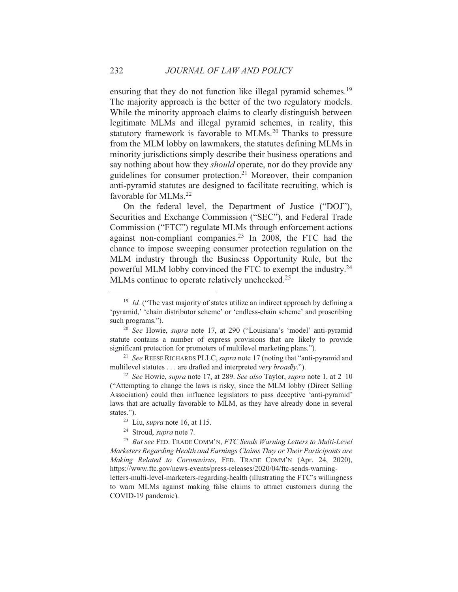ensuring that they do not function like illegal pyramid schemes.<sup>19</sup> The majority approach is the better of the two regulatory models. While the minority approach claims to clearly distinguish between legitimate MLMs and illegal pyramid schemes, in reality, this statutory framework is favorable to MLMs.<sup>20</sup> Thanks to pressure from the MLM lobby on lawmakers, the statutes defining MLMs in minority jurisdictions simply describe their business operations and say nothing about how they *should* operate, nor do they provide any guidelines for consumer protection.<sup>21</sup> Moreover, their companion anti-pyramid statutes are designed to facilitate recruiting, which is favorable for MLMs.<sup>22</sup>

On the federal level, the Department of Justice ("DOJ"), Securities and Exchange Commission ("SEC"), and Federal Trade Commission ("FTC") regulate MLMs through enforcement actions against non-compliant companies.<sup>23</sup> In 2008, the FTC had the chance to impose sweeping consumer protection regulation on the MLM industry through the Business Opportunity Rule, but the powerful MLM lobby convinced the FTC to exempt the industry.<sup>24</sup> MLMs continue to operate relatively unchecked.<sup>25</sup>

<sup>24</sup> Stroud, *supra* note 7.

<sup>&</sup>lt;sup>19</sup> *Id.* ("The vast majority of states utilize an indirect approach by defining a 'pyramid,' 'chain distributor scheme' or 'endless-chain scheme' and proscribing such programs.").

<sup>&</sup>lt;sup>20</sup> See Howie, *supra* note 17, at 290 ("Louisiana's 'model' anti-pyramid statute contains a number of express provisions that are likely to provide significant protection for promoters of multilevel marketing plans.").

<sup>&</sup>lt;sup>21</sup> See REESE RICHARDS PLLC, *supra* note 17 (noting that "anti-pyramid and multilevel statutes . . . are drafted and interpreted very broadly.").

<sup>&</sup>lt;sup>22</sup> See Howie, *supra* note 17, at 289. See also Taylor, *supra* note 1, at 2–10 ("Attempting to change the laws is risky, since the MLM lobby (Direct Selling) Association) could then influence legislators to pass deceptive 'anti-pyramid' laws that are actually favorable to MLM, as they have already done in several states.").

 $23$  Liu, *supra* note 16, at 115.

<sup>&</sup>lt;sup>25</sup> But see FED. TRADE COMM'N, FTC Sends Warning Letters to Multi-Level Marketers Regarding Health and Earnings Claims They or Their Participants are Making Related to Coronavirus, FED. TRADE COMM'N (Apr. 24, 2020), https://www.ftc.gov/news-events/press-releases/2020/04/ftc-sends-warningletters-multi-level-marketers-regarding-health (illustrating the FTC's willingness to warn MLMs against making false claims to attract customers during the

COVID-19 pandemic).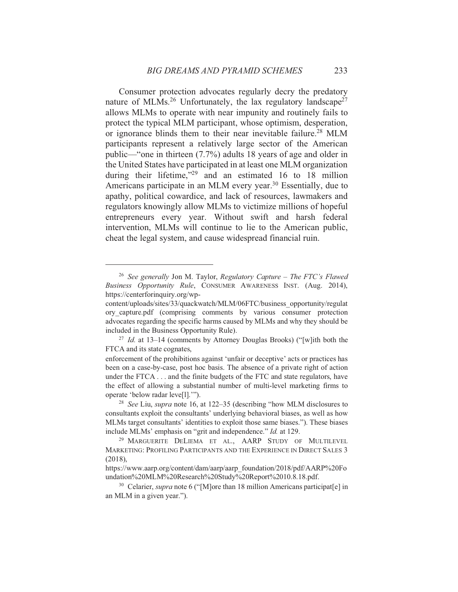Consumer protection advocates regularly decry the predatory nature of MLMs.<sup>26</sup> Unfortunately, the lax regulatory landscape<sup>27</sup> allows MLMs to operate with near impunity and routinely fails to protect the typical MLM participant, whose optimism, desperation, or ignorance blinds them to their near inevitable failure.<sup>28</sup> MLM participants represent a relatively large sector of the American public—"one in thirteen (7.7%) adults 18 years of age and older in the United States have participated in at least one MLM organization during their lifetime,"<sup>29</sup> and an estimated 16 to 18 million Americans participate in an MLM every year.<sup>30</sup> Essentially, due to apathy, political cowardice, and lack of resources, lawmakers and regulators knowingly allow MLMs to victimize millions of hopeful entrepreneurs every year. Without swift and harsh federal intervention, MLMs will continue to lie to the American public, cheat the legal system, and cause widespread financial ruin.

<sup>&</sup>lt;sup>26</sup> See generally Jon M. Taylor, Regulatory Capture - The FTC's Flawed Business Opportunity Rule, CONSUMER AWARENESS INST. (Aug. 2014), https://centerforinguiry.org/wp-

content/uploads/sites/33/quackwatch/MLM/06FTC/business opportunity/regulat ory\_capture.pdf (comprising comments by various consumer protection advocates regarding the specific harms caused by MLMs and why they should be included in the Business Opportunity Rule).

<sup>&</sup>lt;sup>27</sup> *Id.* at 13–14 (comments by Attorney Douglas Brooks) ("[w]ith both the FTCA and its state cognates,

enforcement of the prohibitions against 'unfair or deceptive' acts or practices has been on a case-by-case, post hoc basis. The absence of a private right of action under the FTCA... and the finite budgets of the FTC and state regulators, have the effect of allowing a substantial number of multi-level marketing firms to operate 'below radar leve[1]."").

<sup>&</sup>lt;sup>28</sup> See Liu, supra note 16, at 122-35 (describing "how MLM disclosures to consultants exploit the consultants' underlying behavioral biases, as well as how MLMs target consultants' identities to exploit those same biases."). These biases include MLMs' emphasis on "grit and independence." Id. at 129.

<sup>&</sup>lt;sup>29</sup> MARGUERITE DELIEMA ET AL., AARP STUDY OF MULTILEVEL MARKETING: PROFILING PARTICIPANTS AND THE EXPERIENCE IN DIRECT SALES 3  $(2018),$ 

https://www.aarp.org/content/dam/aarp/aarp foundation/2018/pdf/AARP%20Fo undation%20MLM%20Research%20Study%20Report%2010.8.18.pdf.

<sup>&</sup>lt;sup>30</sup> Celarier, *supra* note 6 ("[M] ore than 18 million Americans participat[e] in an MLM in a given year.").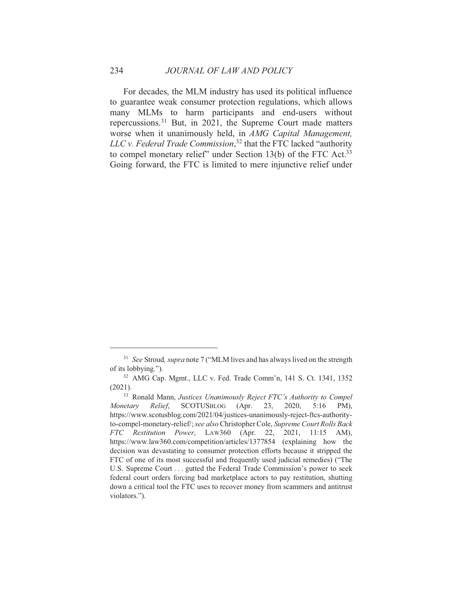For decades, the MLM industry has used its political influence to guarantee weak consumer protection regulations, which allows many MLMs to harm participants and end-users without repercussions.<sup>31</sup> But, in 2021, the Supreme Court made matters worse when it unanimously held, in AMG Capital Management, LLC v. Federal Trade Commission,<sup>32</sup> that the FTC lacked "authority" to compel monetary relief" under Section 13(b) of the FTC Act.<sup>33</sup> Going forward, the FTC is limited to mere injunctive relief under

<sup>&</sup>lt;sup>31</sup> See Stroud, *supra* note 7 ("MLM lives and has always lived on the strength of its lobbying.").

<sup>&</sup>lt;sup>32</sup> AMG Cap. Mgmt., LLC v. Fed. Trade Comm'n, 141 S. Ct. 1341, 1352  $(2021).$ 

<sup>&</sup>lt;sup>33</sup> Ronald Mann, Justices Unanimously Reject FTC's Authority to Compel Monetary Relief, SCOTUSBLOG (Apr. 23. 2020,  $5:16$  $PM$ ). https://www.scotusblog.com/2021/04/justices-unanimously-reject-ftcs-authorityto-compel-monetary-relief/; see also Christopher Cole, Supreme Court Rolls Back FTC Restitution Power, LAW360 (Apr. 22, 2021, 11:15 AM), https://www.law360.com/competition/articles/1377854 (explaining how the decision was devastating to consumer protection efforts because it stripped the FTC of one of its most successful and frequently used judicial remedies) ("The U.S. Supreme Court . . . gutted the Federal Trade Commission's power to seek federal court orders forcing bad marketplace actors to pay restitution, shutting down a critical tool the FTC uses to recover money from scammers and antitrust violators.").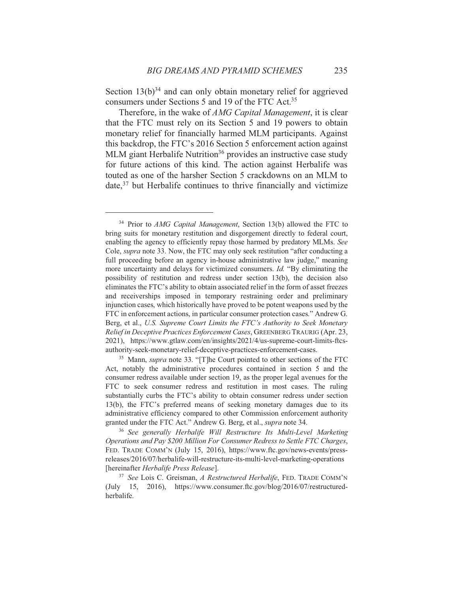Section  $13(b)^{34}$  and can only obtain monetary relief for aggrieved consumers under Sections 5 and 19 of the FTC Act.<sup>35</sup>

Therefore, in the wake of *AMG Capital Management*, it is clear that the FTC must rely on its Section 5 and 19 powers to obtain monetary relief for financially harmed MLM participants. Against this backdrop, the FTC's 2016 Section 5 enforcement action against MLM giant Herbalife Nutrition<sup>36</sup> provides an instructive case study for future actions of this kind. The action against Herbalife was touted as one of the harsher Section 5 crackdowns on an MLM to date,<sup>37</sup> but Herbalife continues to thrive financially and victimize

<sup>&</sup>lt;sup>34</sup> Prior to *AMG Capital Management*, Section 13(b) allowed the FTC to bring suits for monetary restitution and disgorgement directly to federal court, enabling the agency to efficiently repay those harmed by predatory MLMs. See Cole, *supra* note 33. Now, the FTC may only seek restitution "after conducting a full proceeding before an agency in-house administrative law judge," meaning more uncertainty and delays for victimized consumers. *Id.* "By eliminating the possibility of restitution and redress under section 13(b), the decision also eliminates the FTC's ability to obtain associated relief in the form of asset freezes and receiverships imposed in temporary restraining order and preliminary injunction cases, which historically have proved to be potent weapons used by the FTC in enforcement actions, in particular consumer protection cases." Andrew G. Berg, et al., U.S. Supreme Court Limits the FTC's Authority to Seek Monetary Relief in Deceptive Practices Enforcement Cases, GREENBERG TRAURIG (Apr. 23, 2021), https://www.gtlaw.com/en/insights/2021/4/us-supreme-court-limits-ftcsauthority-seek-monetary-relief-deceptive-practices-enforcement-cases.

<sup>&</sup>lt;sup>35</sup> Mann, *supra* note 33. "[T]he Court pointed to other sections of the FTC Act, notably the administrative procedures contained in section 5 and the consumer redress available under section 19, as the proper legal avenues for the FTC to seek consumer redress and restitution in most cases. The ruling substantially curbs the FTC's ability to obtain consumer redress under section 13(b), the FTC's preferred means of seeking monetary damages due to its administrative efficiency compared to other Commission enforcement authority granted under the FTC Act." Andrew G. Berg, et al., supra note 34.

<sup>&</sup>lt;sup>36</sup> See generally Herbalife Will Restructure Its Multi-Level Marketing Operations and Pay \$200 Million For Consumer Redress to Settle FTC Charges, FED. TRADE COMM'N (July 15, 2016), https://www.ftc.gov/news-events/pressreleases/2016/07/herbalife-will-restructure-its-multi-level-marketing-operations [hereinafter Herbalife Press Release].

<sup>&</sup>lt;sup>37</sup> See Lois C. Greisman, A Restructured Herbalife, FED. TRADE COMM'N (July 15, 2016), https://www.consumer.ftc.gov/blog/2016/07/restructuredherbalife.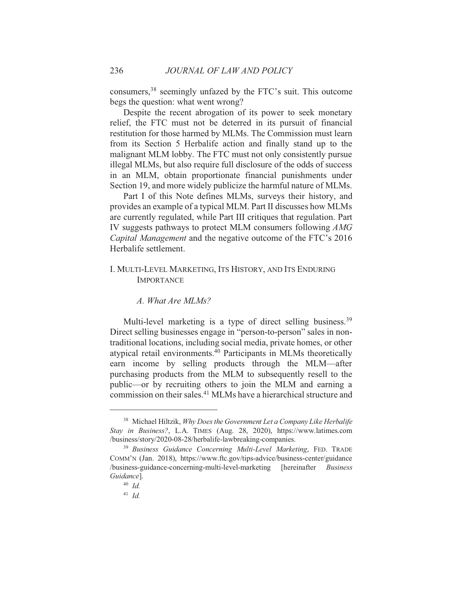consumers,<sup>38</sup> seemingly unfazed by the FTC's suit. This outcome begs the question: what went wrong?

Despite the recent abrogation of its power to seek monetary relief, the FTC must not be deterred in its pursuit of financial restitution for those harmed by MLMs. The Commission must learn from its Section 5 Herbalife action and finally stand up to the malignant MLM lobby. The FTC must not only consistently pursue illegal MLMs, but also require full disclosure of the odds of success in an MLM, obtain proportionate financial punishments under Section 19, and more widely publicize the harmful nature of MLMs.

Part I of this Note defines MLMs, surveys their history, and provides an example of a typical MLM. Part II discusses how MLMs are currently regulated, while Part III critiques that regulation. Part IV suggests pathways to protect MLM consumers following AMG *Capital Management* and the negative outcome of the FTC's 2016 Herbalife settlement

# I. MULTI-LEVEL MARKETING, ITS HISTORY, AND ITS ENDURING **IMPORTANCE**

# A. What Are MLMs?

Multi-level marketing is a type of direct selling business.<sup>39</sup> Direct selling businesses engage in "person-to-person" sales in nontraditional locations, including social media, private homes, or other atypical retail environments.<sup>40</sup> Participants in MLMs theoretically earn income by selling products through the MLM—after purchasing products from the MLM to subsequently resell to the public—or by recruiting others to join the MLM and earning a commission on their sales.<sup>41</sup> MLMs have a hierarchical structure and

<sup>&</sup>lt;sup>38</sup> Michael Hiltzik, Why Does the Government Let a Company Like Herbalife Stay in Business?, L.A. TIMES (Aug. 28, 2020), https://www.latimes.com /business/story/2020-08-28/herbalife-lawbreaking-companies.

<sup>&</sup>lt;sup>39</sup> Business Guidance Concerning Multi-Level Marketing, FED. TRADE COMM'N (Jan. 2018), https://www.ftc.gov/tips-advice/business-center/guidance /business-guidance-concerning-multi-level-marketing [hereinafter *Business* Guidance].

 $40$  Id.

<sup>&</sup>lt;sup>41</sup> Id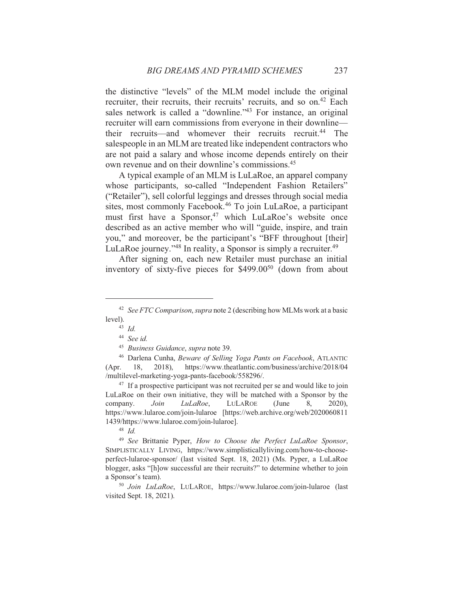the distinctive "levels" of the MLM model include the original recruiter, their recruits, their recruits' recruits, and so on.<sup>42</sup> Each sales network is called a "downline."<sup>43</sup> For instance, an original recruiter will earn commissions from everyone in their downline their recruits—and whomever their recruits recruit.<sup>44</sup> The salespeople in an MLM are treated like independent contractors who are not paid a salary and whose income depends entirely on their own revenue and on their downline's commissions.<sup>45</sup>

A typical example of an MLM is LuLaRoe, an apparel company whose participants, so-called "Independent Fashion Retailers" ("Retailer"), sell colorful leggings and dresses through social media sites, most commonly Facebook.<sup>46</sup> To join LuLaRoe, a participant must first have a Sponsor,<sup>47</sup> which LuLaRoe's website once described as an active member who will "guide, inspire, and train you," and moreover, be the participant's "BFF throughout [their] LuLaRoe journey."<sup>48</sup> In reality, a Sponsor is simply a recruiter.<sup>49</sup>

After signing on, each new Retailer must purchase an initial inventory of sixty-five pieces for \$499.00<sup>50</sup> (down from about

<sup>47</sup> If a prospective participant was not recruited per se and would like to join LuLaRoe on their own initiative, they will be matched with a Sponsor by the company. Join LuLaRoe, **LULAROE** (June 8.  $2020$ ), https://www.lularoe.com/join-lularoe [https://web.archive.org/web/2020060811] 1439/https://www.lularoe.com/join-lularoe].

 $48$  *Id.* 

<sup>49</sup> See Brittanie Pyper, How to Choose the Perfect LuLaRoe Sponsor, SIMPLISTICALLY LIVING, https://www.simplisticallyliving.com/how-to-chooseperfect-lularoe-sponsor/ (last visited Sept. 18, 2021) (Ms. Pyper, a LuLaRoe blogger, asks "[h]ow successful are their recruits?" to determine whether to join a Sponsor's team).

<sup>50</sup> Join LuLaRoe, LULAROE, https://www.lularoe.com/join-lularoe (last visited Sept. 18, 2021).

<sup>&</sup>lt;sup>42</sup> See FTC Comparison, supra note 2 (describing how MLMs work at a basic level).

 $43$  *Id.* 

 $44$  See id.

<sup>&</sup>lt;sup>45</sup> Business Guidance, supra note 39.

<sup>&</sup>lt;sup>46</sup> Darlena Cunha, Beware of Selling Yoga Pants on Facebook, ATLANTIC 18,  $2018$ ), https://www.theatlantic.com/business/archive/2018/04  $(Apr.$ /multilevel-marketing-yoga-pants-facebook/558296/.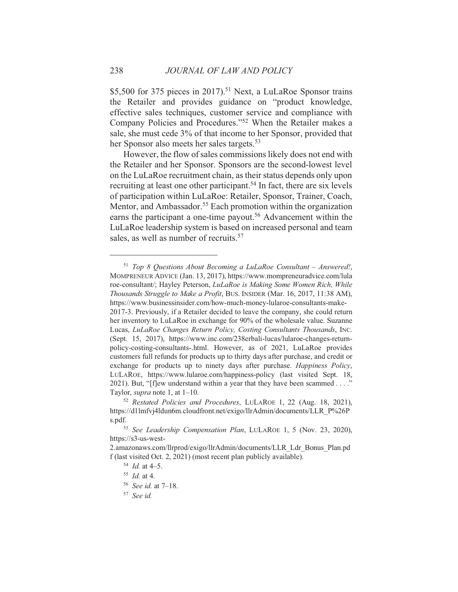\$5,500 for 375 pieces in 2017).<sup>51</sup> Next, a LuLaRoe Sponsor trains the Retailer and provides guidance on "product knowledge, effective sales techniques, customer service and compliance with Company Policies and Procedures."<sup>52</sup> When the Retailer makes a sale, she must cede 3% of that income to her Sponsor, provided that her Sponsor also meets her sales targets.<sup>53</sup>

However, the flow of sales commissions likely does not end with the Retailer and her Sponsor. Sponsors are the second-lowest level on the LuLaRoe recruitment chain, as their status depends only upon recruiting at least one other participant.<sup>54</sup> In fact, there are six levels of participation within LuLaRoe: Retailer, Sponsor, Trainer, Coach, Mentor, and Ambassador.<sup>55</sup> Each promotion within the organization earns the participant a one-time payout.<sup>56</sup> Advancement within the LuLaRoe leadership system is based on increased personal and team sales, as well as number of recruits.<sup>57</sup>

 $57$  See id.

 $51$  Top 8 Ouestions About Becoming a LuLaRoe Consultant – Answered!, MOMPRENEUR ADVICE (Jan. 13, 2017), https://www.mompreneuradvice.com/lula roe-consultant/; Hayley Peterson, LuLaRoe is Making Some Women Rich, While *Thousands Struggle to Make a Profit, BUS. INSIDER (Mar. 16, 2017, 11:38 AM),* https://www.businessinsider.com/how-much-money-lularoe-consultants-make-2017-3. Previously, if a Retailer decided to leave the company, she could return her inventory to LuLaRoe in exchange for 90% of the wholesale value. Suzanne Lucas, LuLaRoe Changes Return Policy, Costing Consultants Thousands, INC. (Sept. 15, 2017), https://www.inc.com/238erbali-lucas/lularoe-changes-returnpolicy-costing-consultants-.html. However, as of 2021, LuLaRoe provides customers full refunds for products up to thirty days after purchase, and credit or exchange for products up to ninety days after purchase. *Happiness Policy*, LULAROE, https://www.lularoe.com/happiness-policy (last visited Sept. 18, 2021). But, "[flew understand within a year that they have been scammed . . . ." Taylor, *supra* note 1, at  $1-10$ .

<sup>&</sup>lt;sup>52</sup> Restated Policies and Procedures, LULAROE 1, 22 (Aug. 18, 2021), https://d1lmfvj4ldun6m.cloudfront.net/exigo/llrAdmin/documents/LLR\_P%26P s.pdf.

<sup>&</sup>lt;sup>53</sup> See Leadership Compensation Plan, LULAROE 1, 5 (Nov. 23, 2020), https://s3-us-west-

<sup>2.</sup>amazonaws.com/llrprod/exigo/llrAdmin/documents/LLR Ldr Bonus Plan.pd f (last visited Oct. 2, 2021) (most recent plan publicly available).

 $^{54}$  *Id.* at 4-5.

 $55$  *Id.* at 4.

<sup>&</sup>lt;sup>56</sup> See id. at 7-18.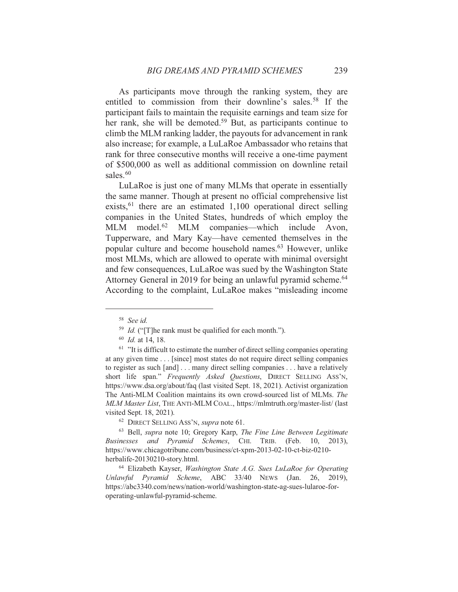239

As participants move through the ranking system, they are entitled to commission from their downline's sales.<sup>58</sup> If the participant fails to maintain the requisite earnings and team size for her rank, she will be demoted.<sup>59</sup> But, as participants continue to climb the MLM ranking ladder, the payouts for advancement in rank also increase; for example, a LuLaRoe Ambassador who retains that rank for three consecutive months will receive a one-time payment of \$500,000 as well as additional commission on downline retail sales.<sup>60</sup>

LuLaRoe is just one of many MLMs that operate in essentially the same manner. Though at present no official comprehensive list exists,  $61$  there are an estimated 1,100 operational direct selling companies in the United States, hundreds of which employ the MLM model.<sup>62</sup> MLM companies—which include Avon, Tupperware, and Mary Kay—have cemented themselves in the popular culture and become household names.<sup>63</sup> However, unlike most MLMs, which are allowed to operate with minimal oversight and few consequences, LuLaRoe was sued by the Washington State Attorney General in 2019 for being an unlawful pyramid scheme.<sup>64</sup> According to the complaint, LuLaRoe makes "misleading income"

 $58$  See id.

<sup>&</sup>lt;sup>59</sup> *Id.* ("The rank must be qualified for each month.").

 $160$  *Id.* at 14, 18.

 $61$  "It is difficult to estimate the number of direct selling companies operating at any given time . . . [since] most states do not require direct selling companies to register as such [and]... many direct selling companies... have a relatively short life span." Frequently Asked Ouestions, DIRECT SELLING ASS'N, https://www.dsa.org/about/faq (last visited Sept. 18, 2021). Activist organization The Anti-MLM Coalition maintains its own crowd-sourced list of MLMs. The MLM Master List, THE ANTI-MLM COAL., https://mlmtruth.org/master-list/ (last visited Sept. 18, 2021).

<sup>&</sup>lt;sup>62</sup> DIRECT SELLING ASS'N, *supra* note 61.

<sup>&</sup>lt;sup>63</sup> Bell, *supra* note 10; Gregory Karp, *The Fine Line Between Legitimate* Businesses and Pyramid Schemes, CHI. TRIB. (Feb. 10, 2013), https://www.chicagotribune.com/business/ct-xpm-2013-02-10-ct-biz-0210herbalife-20130210-story.html.

<sup>&</sup>lt;sup>64</sup> Elizabeth Kayser, *Washington State A.G. Sues LuLaRoe for Operating* Unlawful Pyramid Scheme, ABC 33/40 NEWS (Jan. 26, 2019), https://abc3340.com/news/nation-world/washington-state-ag-sues-lularoe-foroperating-unlawful-pyramid-scheme.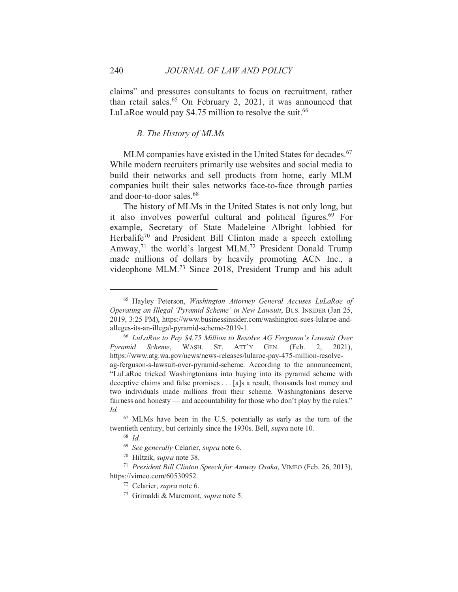claims" and pressures consultants to focus on recruitment, rather than retail sales.<sup>65</sup> On February 2, 2021, it was announced that LuLaRoe would pay \$4.75 million to resolve the suit.<sup>66</sup>

## **B.** The History of MLMs

MLM companies have existed in the United States for decades.<sup>67</sup> While modern recruiters primarily use websites and social media to build their networks and sell products from home, early MLM companies built their sales networks face-to-face through parties and door-to-door sales.<sup>68</sup>

The history of MLMs in the United States is not only long, but it also involves powerful cultural and political figures.<sup>69</sup> For example, Secretary of State Madeleine Albright lobbied for Herbalife<sup>70</sup> and President Bill Clinton made a speech extolling Amway,<sup>71</sup> the world's largest MLM.<sup>72</sup> President Donald Trump made millions of dollars by heavily promoting ACN Inc., a videophone MLM.<sup>73</sup> Since 2018, President Trump and his adult

<sup>71</sup> President Bill Clinton Speech for Amway Osaka, VIMEO (Feb. 26, 2013), https://vimeo.com/60530952.

- 72 Celarier, *supra* note 6.
- <sup>73</sup> Grimaldi & Maremont, *supra* note 5.

<sup>&</sup>lt;sup>65</sup> Hayley Peterson, Washington Attorney General Accuses LuLaRoe of Operating an Illegal 'Pyramid Scheme' in New Lawsuit, BUS. INSIDER (Jan 25, 2019, 3:25 PM), https://www.businessinsider.com/washington-sues-lularoe-andalleges-its-an-illegal-pyramid-scheme-2019-1.

<sup>&</sup>lt;sup>66</sup> LuLaRoe to Pay \$4.75 Million to Resolve AG Ferguson's Lawsuit Over WASH. Pyramid Scheme. ST. ATT'Y GEN. (Feb.  $2.$  $2021$ ). https://www.atg.wa.gov/news/news-releases/lularoe-pay-475-million-resolveag-ferguson-s-lawsuit-over-pyramid-scheme. According to the announcement, "LuLaRoe tricked Washingtonians into buying into its pyramid scheme with deceptive claims and false promises . . . [a]s a result, thousands lost money and two individuals made millions from their scheme. Washingtonians deserve fairness and honesty — and accountability for those who don't play by the rules." Id.

 $67$  MLMs have been in the U.S. potentially as early as the turn of the twentieth century, but certainly since the 1930s. Bell, *supra* note 10.

 $68$  *Id.* 

<sup>&</sup>lt;sup>69</sup> See generally Celarier, supra note 6.

<sup>&</sup>lt;sup>70</sup> Hiltzik, *supra* note 38.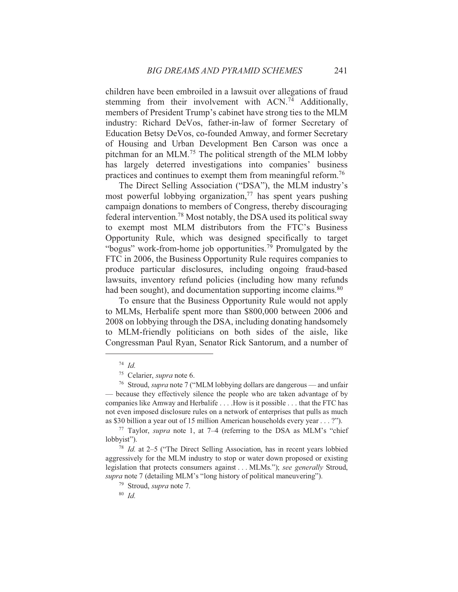children have been embroiled in a lawsuit over allegations of fraud stemming from their involvement with ACN.<sup>74</sup> Additionally, members of President Trump's cabinet have strong ties to the MLM industry: Richard DeVos, father-in-law of former Secretary of Education Betsy DeVos, co-founded Amway, and former Secretary of Housing and Urban Development Ben Carson was once a pitchman for an MLM.<sup>75</sup> The political strength of the MLM lobby has largely deterred investigations into companies' business practices and continues to exempt them from meaningful reform.<sup>76</sup>

The Direct Selling Association ("DSA"), the MLM industry's most powerful lobbying organization,  $77$  has spent years pushing campaign donations to members of Congress, thereby discouraging federal intervention.<sup>78</sup> Most notably, the DSA used its political sway to exempt most MLM distributors from the FTC's Business Opportunity Rule, which was designed specifically to target "bogus" work-from-home job opportunities.<sup>79</sup> Promulgated by the FTC in 2006, the Business Opportunity Rule requires companies to produce particular disclosures, including ongoing fraud-based lawsuits, inventory refund policies (including how many refunds had been sought), and documentation supporting income claims.<sup>80</sup>

To ensure that the Business Opportunity Rule would not apply to MLMs, Herbalife spent more than \$800,000 between 2006 and 2008 on lobbying through the DSA, including donating handsomely to MLM-friendly politicians on both sides of the aisle, like Congressman Paul Ryan, Senator Rick Santorum, and a number of

 $74$  Id.

<sup>75</sup> Celarier, *supra* note 6.

<sup>&</sup>lt;sup>76</sup> Stroud, *supra* note 7 ("MLM lobbying dollars are dangerous — and unfair — because they effectively silence the people who are taken advantage of by companies like Amway and Herbalife . . . . How is it possible . . . that the FTC has not even imposed disclosure rules on a network of enterprises that pulls as much as \$30 billion a year out of 15 million American households every year . . . ?").

<sup>&</sup>lt;sup>77</sup> Taylor, *supra* note 1, at  $7-4$  (referring to the DSA as MLM's "chief" lobbyist").

<sup>78</sup> Id. at 2-5 ("The Direct Selling Association, has in recent years lobbied aggressively for the MLM industry to stop or water down proposed or existing legislation that protects consumers against... MLMs."); see generally Stroud, supra note 7 (detailing MLM's "long history of political maneuvering").

<sup>&</sup>lt;sup>79</sup> Stroud, *supra* note 7.

 $80$  Id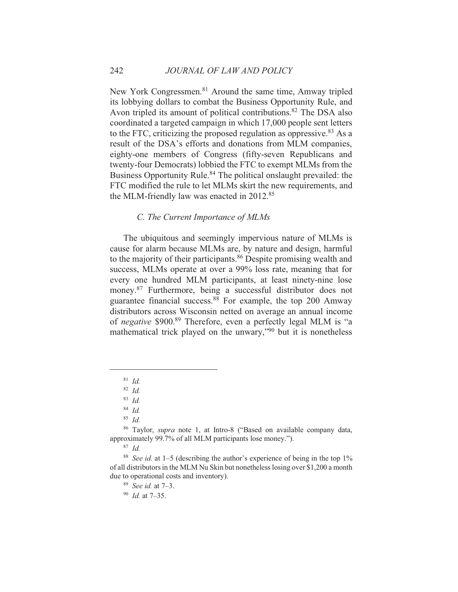New York Congressmen.<sup>81</sup> Around the same time, Amway tripled its lobbying dollars to combat the Business Opportunity Rule, and Avon tripled its amount of political contributions.<sup>82</sup> The DSA also coordinated a targeted campaign in which 17,000 people sent letters to the FTC, criticizing the proposed regulation as oppressive.<sup>83</sup> As a result of the DSA's efforts and donations from MLM companies, eighty-one members of Congress (fifty-seven Republicans and twenty-four Democrats) lobbied the FTC to exempt MLMs from the Business Opportunity Rule.<sup>84</sup> The political onslaught prevailed: the FTC modified the rule to let MLMs skirt the new requirements, and the MLM-friendly law was enacted in 2012.<sup>85</sup>

#### C. The Current Importance of MLMs

The ubiquitous and seemingly impervious nature of MLMs is cause for alarm because MLMs are, by nature and design, harmful to the majority of their participants.<sup>86</sup> Despite promising wealth and success, MLMs operate at over a 99% loss rate, meaning that for every one hundred MLM participants, at least ninety-nine lose money.<sup>87</sup> Furthermore, being a successful distributor does not guarantee financial success. $88$  For example, the top 200 Amway distributors across Wisconsin netted on average an annual income of *negative* \$900.<sup>89</sup> Therefore, even a perfectly legal MLM is "a mathematical trick played on the unwary,"90 but it is nonetheless

 $81$  Id

 $82$  *Id.* 

 $83$  Id.

 $84$  *Id.* 

 $85$  *Id.* 

<sup>&</sup>lt;sup>86</sup> Taylor, *supra* note 1, at Intro-8 ("Based on available company data, approximately 99.7% of all MLM participants lose money.").

 $87$  Id.

<sup>&</sup>lt;sup>88</sup> See id. at 1–5 (describing the author's experience of being in the top  $1\%$ of all distributors in the MLM Nu Skin but nonetheless losing over \$1,200 a month due to operational costs and inventory).

 $89$  See id. at 7-3.

 $90$  *Id.* at 7-35.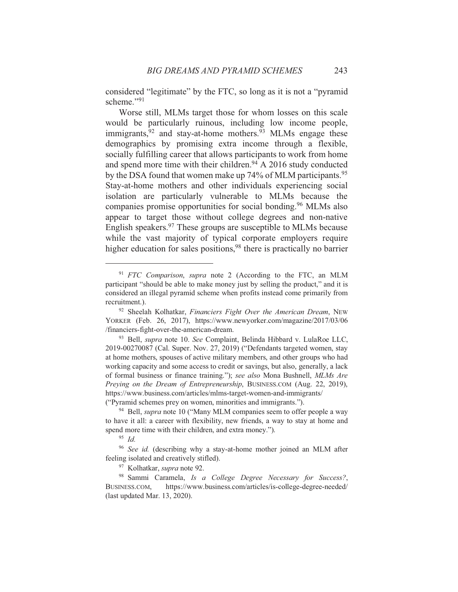considered "legitimate" by the FTC, so long as it is not a "pyramid" scheme."91

Worse still, MLMs target those for whom losses on this scale would be particularly ruinous, including low income people, immigrants,  $92$  and stay-at-home mothers.  $93$  MLMs engage these demographics by promising extra income through a flexible, socially fulfilling career that allows participants to work from home and spend more time with their children.<sup>94</sup> A 2016 study conducted by the DSA found that women make up 74% of MLM participants.<sup>95</sup> Stay-at-home mothers and other individuals experiencing social isolation are particularly vulnerable to MLMs because the companies promise opportunities for social bonding.<sup>96</sup> MLMs also appear to target those without college degrees and non-native English speakers.<sup>97</sup> These groups are susceptible to MLMs because while the vast majority of typical corporate employers require higher education for sales positions,<sup>98</sup> there is practically no barrier

97 Kolhatkar, *supra* note 92.

 $91$  FTC Comparison, supra note 2 (According to the FTC, an MLM participant "should be able to make money just by selling the product," and it is considered an illegal pyramid scheme when profits instead come primarily from recruitment.).

<sup>&</sup>lt;sup>92</sup> Sheelah Kolhatkar, Financiers Fight Over the American Dream, NEW YORKER (Feb. 26, 2017), https://www.newyorker.com/magazine/2017/03/06 /financiers-fight-over-the-american-dream.

<sup>93</sup> Bell, supra note 10. See Complaint, Belinda Hibbard v. LulaRoe LLC, 2019-00270087 (Cal. Super. Nov. 27, 2019) ("Defendants targeted women, stay at home mothers, spouses of active military members, and other groups who had working capacity and some access to credit or savings, but also, generally, a lack of formal business or finance training."); see also Mona Bushnell, MLMs Are Preying on the Dream of Entrepreneurship, BUSINESS.COM (Aug. 22, 2019), https://www.business.com/articles/mlms-target-women-and-immigrants/ ("Pyramid schemes prey on women, minorities and immigrants.").

<sup>&</sup>lt;sup>94</sup> Bell, *supra* note 10 ("Many MLM companies seem to offer people a way to have it all: a career with flexibility, new friends, a way to stay at home and spend more time with their children, and extra money.").

 $95$  Id

<sup>&</sup>lt;sup>96</sup> See id. (describing why a stay-at-home mother joined an MLM after feeling isolated and creatively stifled).

<sup>98</sup> Sammi Caramela, Is a College Degree Necessary for Success?, https://www.business.com/articles/is-college-degree-needed/ BUSINESS.COM. (last updated Mar. 13, 2020).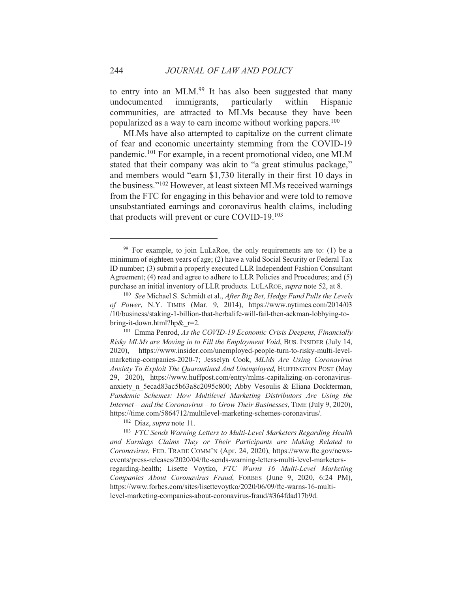to entry into an MLM.<sup>99</sup> It has also been suggested that many undocumented immigrants, particularly within Hispanic communities, are attracted to MLMs because they have been popularized as a way to earn income without working papers.<sup>100</sup>

MLMs have also attempted to capitalize on the current climate of fear and economic uncertainty stemming from the COVID-19 pandemic.<sup>101</sup> For example, in a recent promotional video, one MLM stated that their company was akin to "a great stimulus package," and members would "earn \$1,730 literally in their first 10 days in the business."<sup>102</sup> However, at least sixteen MLMs received warnings from the FTC for engaging in this behavior and were told to remove unsubstantiated earnings and coronavirus health claims, including that products will prevent or cure COVID-19.<sup>103</sup>

<sup>&</sup>lt;sup>99</sup> For example, to join LuLaRoe, the only requirements are to: (1) be a minimum of eighteen years of age; (2) have a valid Social Security or Federal Tax ID number; (3) submit a properly executed LLR Independent Fashion Consultant Agreement; (4) read and agree to adhere to LLR Policies and Procedures; and (5) purchase an initial inventory of LLR products. LULAROE, supra note 52, at 8.

<sup>&</sup>lt;sup>100</sup> See Michael S. Schmidt et al., *After Big Bet, Hedge Fund Pulls the Levels* of Power, N.Y. TIMES (Mar. 9, 2014), https://www.nytimes.com/2014/03 /10/business/staking-1-billion-that-herbalife-will-fail-then-ackman-lobbying-tobring-it-down.html?hp& $r=2$ .

<sup>&</sup>lt;sup>101</sup> Emma Penrod, As the COVID-19 Economic Crisis Deepens, Financially Risky MLMs are Moving in to Fill the Employment Void, BUS. INSIDER (July 14, 2020), https://www.insider.com/unemployed-people-turn-to-risky-multi-levelmarketing-companies-2020-7; Jesselyn Cook, MLMs Are Using Coronavirus Anxiety To Exploit The Quarantined And Unemployed, HUFFINGTON POST (May 29, 2020), https://www.huffpost.com/entry/mlms-capitalizing-on-coronavirusanxiety n 5ecad83ac5b63a8c2095c800; Abby Vesoulis & Eliana Dockterman, Pandemic Schemes: How Multilevel Marketing Distributors Are Using the Internet – and the Coronavirus – to Grow Their Businesses, TIME (July 9, 2020), https://time.com/5864712/multilevel-marketing-schemes-coronavirus/.

<sup>&</sup>lt;sup>102</sup> Diaz, *supra* note 11.

<sup>&</sup>lt;sup>103</sup> FTC Sends Warning Letters to Multi-Level Marketers Regarding Health and Earnings Claims They or Their Participants are Making Related to Coronavirus, FED. TRADE COMM'N (Apr. 24, 2020), https://www.ftc.gov/newsevents/press-releases/2020/04/ftc-sends-warning-letters-multi-level-marketersregarding-health; Lisette Voytko, FTC Warns 16 Multi-Level Marketing Companies About Coronavirus Fraud, FORBES (June 9, 2020, 6:24 PM), https://www.forbes.com/sites/lisettevoytko/2020/06/09/ftc-warns-16-multilevel-marketing-companies-about-coronavirus-fraud/#364fdad17b9d.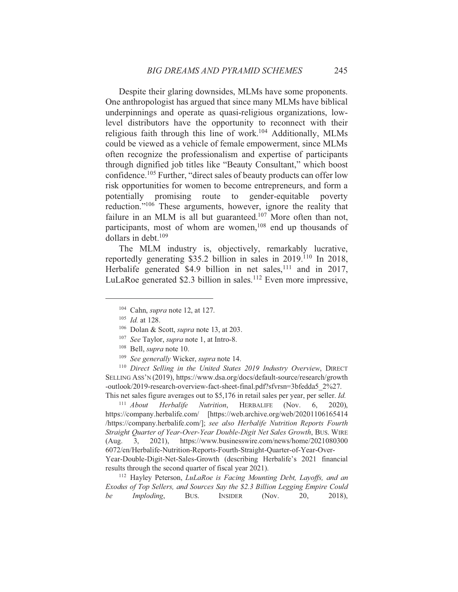Despite their glaring downsides, MLMs have some proponents. One anthropologist has argued that since many MLMs have biblical underpinnings and operate as quasi-religious organizations, lowlevel distributors have the opportunity to reconnect with their religious faith through this line of work.<sup>104</sup> Additionally, MLMs could be viewed as a vehicle of female empowerment, since MLMs often recognize the professionalism and expertise of participants through dignified job titles like "Beauty Consultant," which boost confidence.<sup>105</sup> Further, "direct sales of beauty products can offer low risk opportunities for women to become entrepreneurs, and form a potentially promising route to gender-equitable poverty reduction."<sup>106</sup> These arguments, however, ignore the reality that failure in an MLM is all but guaranteed.<sup>107</sup> More often than not, participants, most of whom are women,<sup>108</sup> end up thousands of dollars in debt. $109$ 

The MLM industry is, objectively, remarkably lucrative, reportedly generating \$35.2 billion in sales in 2019.<sup>110</sup> In 2018, Herbalife generated \$4.9 billion in net sales,  $111$  and in 2017, LuLaRoe generated \$2.3 billion in sales.<sup>112</sup> Even more impressive,

<sup>110</sup> Direct Selling in the United States 2019 Industry Overview, DIRECT SELLING ASS'N (2019), https://www.dsa.org/docs/default-source/research/growth -outlook/2019-research-overview-fact-sheet-final.pdf?sfvrsn=3bfedda5 2%27. This net sales figure averages out to \$5,176 in retail sales per year, per seller. *Id.* 

 $111$  About Herbalife Nutrition. **HERBALIFE** (Nov. 6.  $2020$ ). https://company.herbalife.com/ [https://web.archive.org/web/20201106165414 /https://company.herbalife.com/]; see also Herbalife Nutrition Reports Fourth Straight Quarter of Year-Over-Year Double-Digit Net Sales Growth, BUS. WIRE  $3,$ 2021), https://www.businesswire.com/news/home/2021080300  $(Aug.$ 6072/en/Herbalife-Nutrition-Reports-Fourth-Straight-Quarter-of-Year-Over-Year-Double-Digit-Net-Sales-Growth (describing Herbalife's 2021 financial results through the second quarter of fiscal year 2021).

<sup>112</sup> Hayley Peterson, LuLaRoe is Facing Mounting Debt, Layoffs, and an Exodus of Top Sellers, and Sources Say the \$2.3 Billion Legging Empire Could be Imploding, BUS. **INSIDER**  $(Now,$ 20. 2018).

 $104$  Cahn, *supra* note 12, at 127.

 $105$  *Id.* at 128.

<sup>&</sup>lt;sup>106</sup> Dolan & Scott, *supra* note 13, at 203.

<sup>&</sup>lt;sup>107</sup> See Taylor, *supra* note 1, at Intro-8.

<sup>&</sup>lt;sup>108</sup> Bell, *supra* note 10.

<sup>&</sup>lt;sup>109</sup> See generally Wicker, supra note 14.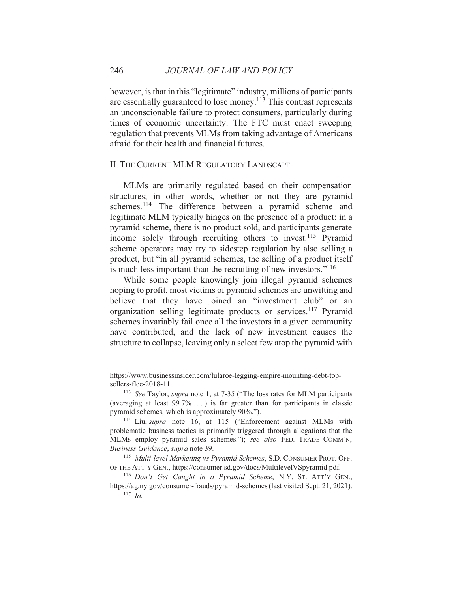however, is that in this "legitimate" industry, millions of participants are essentially guaranteed to lose money.<sup>113</sup> This contrast represents an unconscionable failure to protect consumers, particularly during times of economic uncertainty. The FTC must enact sweeping regulation that prevents MLMs from taking advantage of Americans afraid for their health and financial futures.

#### II. THE CURRENT MLM REGULATORY LANDSCAPE

MLMs are primarily regulated based on their compensation structures; in other words, whether or not they are pyramid schemes.<sup>114</sup> The difference between a pyramid scheme and legitimate MLM typically hinges on the presence of a product: in a pyramid scheme, there is no product sold, and participants generate income solely through recruiting others to invest.<sup>115</sup> Pyramid scheme operators may try to sidestep regulation by also selling a product, but "in all pyramid schemes, the selling of a product itself is much less important than the recruiting of new investors."<sup>116</sup>

While some people knowingly join illegal pyramid schemes hoping to profit, most victims of pyramid schemes are unwitting and believe that they have joined an "investment club" or an organization selling legitimate products or services.<sup>117</sup> Pyramid schemes invariably fail once all the investors in a given community have contributed, and the lack of new investment causes the structure to collapse, leaving only a select few atop the pyramid with

https://www.businessinsider.com/lularoe-legging-empire-mounting-debt-topsellers-flee-2018-11.

<sup>&</sup>lt;sup>113</sup> See Taylor, *supra* note 1, at 7-35 ("The loss rates for MLM participants" (averaging at least  $99.7\%$ ...) is far greater than for participants in classic pyramid schemes, which is approximately 90%.").

<sup>&</sup>lt;sup>114</sup> Liu, *supra* note 16, at 115 ("Enforcement against MLMs with problematic business tactics is primarily triggered through allegations that the MLMs employ pyramid sales schemes."); see also FED. TRADE COMM'N, Business Guidance, supra note 39.

<sup>&</sup>lt;sup>115</sup> Multi-level Marketing vs Pyramid Schemes, S.D. CONSUMER PROT. OFF. OF THE ATT'Y GEN., https://consumer.sd.gov/docs/MultilevelVSpyramid.pdf.

<sup>&</sup>lt;sup>116</sup> Don't Get Caught in a Pyramid Scheme, N.Y. ST. ATT'Y GEN., https://ag.ny.gov/consumer-frauds/pyramid-schemes (last visited Sept. 21, 2021).  $117$  *Id*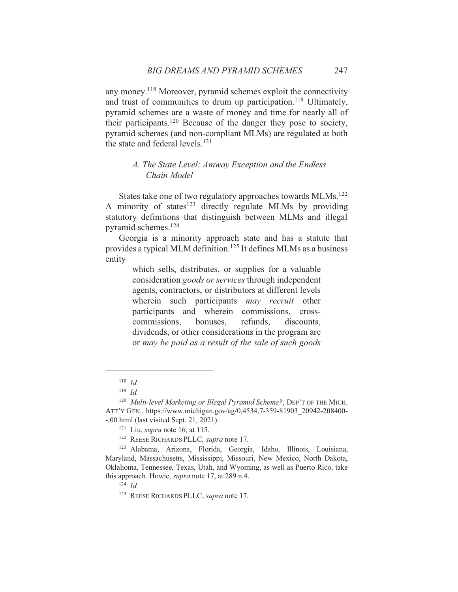any money.<sup>118</sup> Moreover, pyramid schemes exploit the connectivity and trust of communities to drum up participation.<sup>119</sup> Ultimately, pyramid schemes are a waste of money and time for nearly all of their participants.<sup>120</sup> Because of the danger they pose to society, pyramid schemes (and non-compliant MLMs) are regulated at both the state and federal levels.<sup>121</sup>

# A. The State Level: Amway Exception and the Endless Chain Model

States take one of two regulatory approaches towards MLMs.<sup>122</sup> A minority of states<sup>123</sup> directly regulate MLMs by providing statutory definitions that distinguish between MLMs and illegal pyramid schemes.<sup>124</sup>

Georgia is a minority approach state and has a statute that provides a typical MLM definition.<sup>125</sup> It defines MLMs as a business entity

> which sells, distributes, or supplies for a valuable consideration goods or services through independent agents, contractors, or distributors at different levels wherein such participants may recruit other participants and wherein commissions, crossbonuses, commissions. refunds. discounts. dividends, or other considerations in the program are or may be paid as a result of the sale of such goods

 $118$  *Id.* 

 $119$  *Id.* 

<sup>&</sup>lt;sup>120</sup> Multi-level Marketing or Illegal Pyramid Scheme?, DEP'T OF THE MICH. ATT'Y GEN., https://www.michigan.gov/ag/0,4534,7-359-81903 20942-208400--,00.html (last visited Sept. 21, 2021).

<sup>&</sup>lt;sup>121</sup> Liu, *supra* note 16, at 115.

<sup>&</sup>lt;sup>122</sup> REESE RICHARDS PLLC, *supra* note 17.

<sup>123</sup> Alabama, Arizona, Florida, Georgia, Idaho, Illinois, Louisiana, Maryland, Massachusetts, Mississippi, Missouri, New Mexico, North Dakota, Oklahoma, Tennessee, Texas, Utah, and Wyoming, as well as Puerto Rico, take this approach. Howie, *supra* note 17, at 289 n.4.

 $124$  *Id.* 

<sup>&</sup>lt;sup>125</sup> REESE RICHARDS PLLC, *supra* note 17.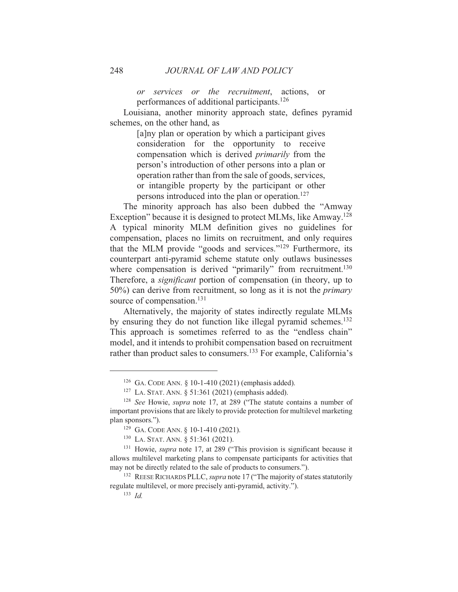or services or the recruitment, actions, or performances of additional participants.<sup>126</sup>

Louisiana, another minority approach state, defines pyramid schemes, on the other hand, as

> [a]ny plan or operation by which a participant gives consideration for the opportunity to receive compensation which is derived *primarily* from the person's introduction of other persons into a plan or operation rather than from the sale of goods, services, or intangible property by the participant or other persons introduced into the plan or operation.<sup>127</sup>

The minority approach has also been dubbed the "Amway" Exception" because it is designed to protect MLMs, like Amway.<sup>128</sup> A typical minority MLM definition gives no guidelines for compensation, places no limits on recruitment, and only requires that the MLM provide "goods and services."<sup>129</sup> Furthermore, its counterpart anti-pyramid scheme statute only outlaws businesses where compensation is derived "primarily" from recruitment.<sup>130</sup> Therefore, a *significant* portion of compensation (in theory, up to  $50\%$ ) can derive from recruitment, so long as it is not the *primary* source of compensation.<sup>131</sup>

Alternatively, the majority of states indirectly regulate MLMs by ensuring they do not function like illegal pyramid schemes.<sup>132</sup> This approach is sometimes referred to as the "endless chain" model, and it intends to prohibit compensation based on recruitment rather than product sales to consumers.<sup>133</sup> For example, California's

<sup>&</sup>lt;sup>126</sup> GA. CODE ANN. § 10-1-410 (2021) (emphasis added).

<sup>&</sup>lt;sup>127</sup> LA. STAT. ANN.  $\S 51:361 (2021)$  (emphasis added).

<sup>&</sup>lt;sup>128</sup> See Howie, *supra* note 17, at 289 ("The statute contains a number of important provisions that are likely to provide protection for multilevel marketing plan sponsors.").

<sup>&</sup>lt;sup>129</sup> GA. CODE ANN. § 10-1-410 (2021).

<sup>&</sup>lt;sup>130</sup> LA. STAT. ANN. § 51:361 (2021).

<sup>&</sup>lt;sup>131</sup> Howie, *supra* note 17, at 289 ("This provision is significant because it allows multilevel marketing plans to compensate participants for activities that may not be directly related to the sale of products to consumers.").

<sup>&</sup>lt;sup>132</sup> REESE RICHARDS PLLC, *supra* note 17 ("The majority of states statutorily regulate multilevel, or more precisely anti-pyramid, activity.").

 $133$  *Id.*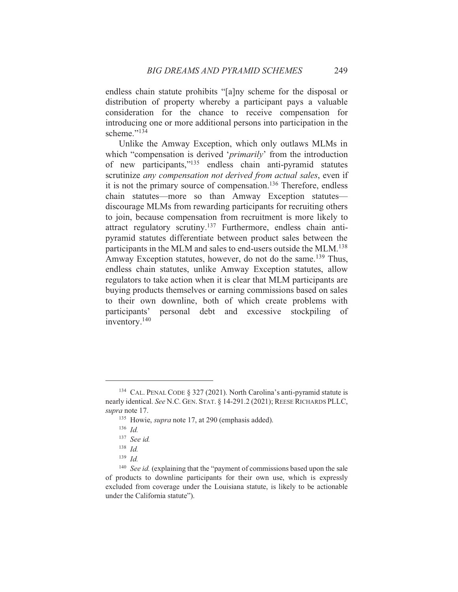endless chain statute prohibits "[a]ny scheme for the disposal or distribution of property whereby a participant pays a valuable consideration for the chance to receive compensation for introducing one or more additional persons into participation in the scheme." $134$ 

Unlike the Amway Exception, which only outlaws MLMs in which "compensation is derived 'primarily' from the introduction of new participants,"<sup>135</sup> endless chain anti-pyramid statutes scrutinize any compensation not derived from actual sales, even if it is not the primary source of compensation.<sup>136</sup> Therefore, endless chain statutes—more so than Amway Exception statutes discourage MLMs from rewarding participants for recruiting others to join, because compensation from recruitment is more likely to attract regulatory scrutiny.<sup>137</sup> Furthermore, endless chain antipyramid statutes differentiate between product sales between the participants in the MLM and sales to end-users outside the MLM.<sup>138</sup> Amway Exception statutes, however, do not do the same.<sup>139</sup> Thus, endless chain statutes, unlike Amway Exception statutes, allow regulators to take action when it is clear that MLM participants are buying products themselves or earning commissions based on sales to their own downline, both of which create problems with participants' personal debt and excessive stockpiling of inventory.<sup>140</sup>

<sup>&</sup>lt;sup>134</sup> CAL. PENAL CODE § 327 (2021). North Carolina's anti-pyramid statute is nearly identical. See N.C. GEN. STAT. § 14-291.2 (2021); REESE RICHARDS PLLC, supra note 17.

<sup>&</sup>lt;sup>135</sup> Howie, *supra* note 17, at 290 (emphasis added).

 $136$  *Id.* 

 $137$  See id.

 $138$  *Id.* 

 $139$  *Id.* 

<sup>&</sup>lt;sup>140</sup> See id. (explaining that the "payment of commissions based upon the sale of products to downline participants for their own use, which is expressly excluded from coverage under the Louisiana statute, is likely to be actionable under the California statute").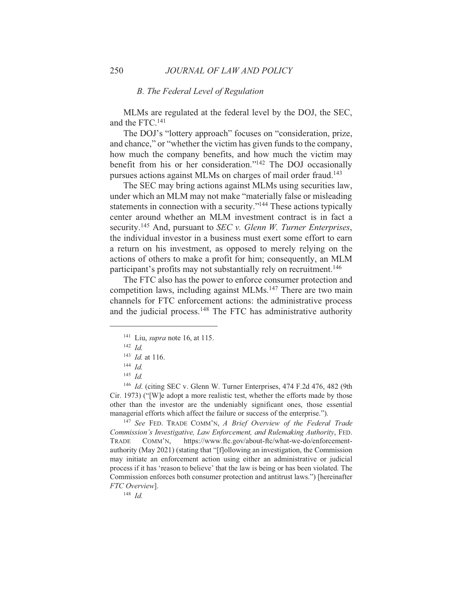#### **B.** The Federal Level of Regulation

MLMs are regulated at the federal level by the DOJ, the SEC, and the FTC.<sup>141</sup>

The DOJ's "lottery approach" focuses on "consideration, prize, and chance," or "whether the victim has given funds to the company, how much the company benefits, and how much the victim may benefit from his or her consideration."<sup>142</sup> The DOJ occasionally pursues actions against MLMs on charges of mail order fraud.<sup>143</sup>

The SEC may bring actions against MLMs using securities law, under which an MLM may not make "materially false or misleading" statements in connection with a security."<sup>144</sup> These actions typically center around whether an MLM investment contract is in fact a security.<sup>145</sup> And, pursuant to *SEC* v. *Glenn W. Turner Enterprises*, the individual investor in a business must exert some effort to earn a return on his investment, as opposed to merely relying on the actions of others to make a profit for him; consequently, an MLM participant's profits may not substantially rely on recruitment.<sup>146</sup>

The FTC also has the power to enforce consumer protection and competition laws, including against MLMs.<sup>147</sup> There are two main channels for FTC enforcement actions: the administrative process and the judicial process.<sup>148</sup> The FTC has administrative authority

<sup>147</sup> See FED. TRADE COMM'N, A Brief Overview of the Federal Trade Commission's Investigative, Law Enforcement, and Rulemaking Authority, FED. https://www.ftc.gov/about-ftc/what-we-do/enforcement-**TRADE** COMM'N, authority (May 2021) (stating that "[f]ollowing an investigation, the Commission may initiate an enforcement action using either an administrative or judicial process if it has 'reason to believe' that the law is being or has been violated. The Commission enforces both consumer protection and antitrust laws.") [hereinafter FTC Overview].

 $148$  *Id.* 

<sup>&</sup>lt;sup>141</sup> Liu, *supra* note 16, at 115.

 $142$  *Id.* 

 $143$  *Id.* at 116.

 $144$  *Id.* 

<sup>&</sup>lt;sup>145</sup>  $Id$ 

<sup>&</sup>lt;sup>146</sup> Id. (citing SEC v. Glenn W. Turner Enterprises, 474 F.2d 476, 482 (9th Cir. 1973) ("[W]e adopt a more realistic test, whether the efforts made by those other than the investor are the undeniably significant ones, those essential managerial efforts which affect the failure or success of the enterprise.").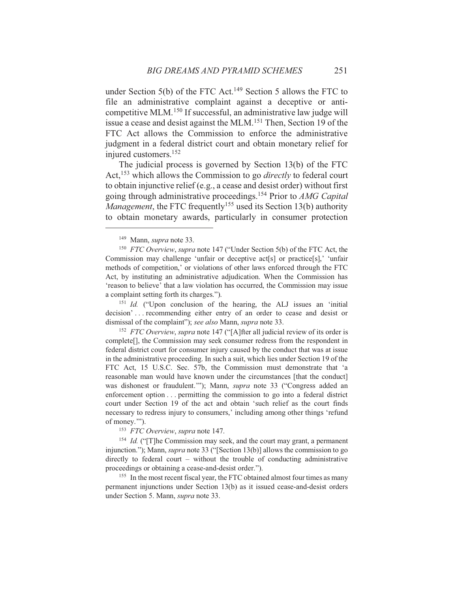under Section 5(b) of the FTC Act.<sup>149</sup> Section 5 allows the FTC to file an administrative complaint against a deceptive or anticompetitive MLM.<sup>150</sup> If successful, an administrative law judge will issue a cease and desist against the MLM.<sup>151</sup> Then, Section 19 of the FTC Act allows the Commission to enforce the administrative judgment in a federal district court and obtain monetary relief for injured customers.<sup>152</sup>

The judicial process is governed by Section 13(b) of the FTC Act,<sup>153</sup> which allows the Commission to go *directly* to federal court to obtain injunctive relief (e.g., a cease and desist order) without first going through administrative proceedings.<sup>154</sup> Prior to *AMG Capital Management*, the FTC frequently<sup>155</sup> used its Section 13(b) authority to obtain monetary awards, particularly in consumer protection

<sup>151</sup> Id. ("Upon conclusion of the hearing, the ALJ issues an 'initial decision'... recommending either entry of an order to cease and desist or dismissal of the complaint"); see also Mann, supra note 33.

<sup>152</sup> *FTC Overview, supra* note 147 ("[A] fter all judicial review of its order is complete<sup>[]</sup>, the Commission may seek consumer redress from the respondent in federal district court for consumer injury caused by the conduct that was at issue in the administrative proceeding. In such a suit, which lies under Section 19 of the FTC Act, 15 U.S.C. Sec. 57b, the Commission must demonstrate that 'a reasonable man would have known under the circumstances [that the conduct] was dishonest or fraudulent.""); Mann, *supra* note 33 ("Congress added an enforcement option . . . permitting the commission to go into a federal district court under Section 19 of the act and obtain 'such relief as the court finds necessary to redress injury to consumers,' including among other things 'refund of money."").

<sup>153</sup> FTC Overview, supra note 147.

<sup>154</sup> *Id.* ("T]he Commission may seek, and the court may grant, a permanent injunction."); Mann, *supra* note 33 ("[Section 13(b)] allows the commission to go directly to federal court - without the trouble of conducting administrative proceedings or obtaining a cease-and-desist order.").

<sup>155</sup> In the most recent fiscal year, the FTC obtained almost four times as many permanent injunctions under Section 13(b) as it issued cease-and-desist orders under Section 5. Mann, *supra* note 33.

<sup>&</sup>lt;sup>149</sup> Mann, *supra* note 33.

<sup>&</sup>lt;sup>150</sup> FTC Overview, supra note 147 ("Under Section 5(b) of the FTC Act, the Commission may challenge 'unfair or deceptive act[s] or practice[s],' 'unfair methods of competition,' or violations of other laws enforced through the FTC Act, by instituting an administrative adjudication. When the Commission has 'reason to believe' that a law violation has occurred, the Commission may issue a complaint setting forth its charges.").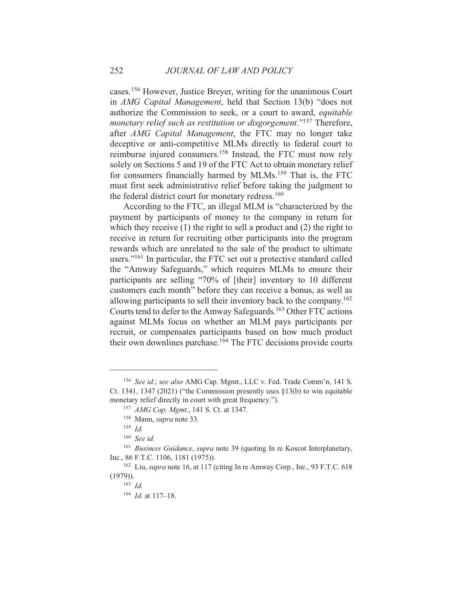cases.<sup>156</sup> However, Justice Brever, writing for the unanimous Court in AMG Capital Management, held that Section 13(b) "does not authorize the Commission to seek, or a court to award, equitable monetary relief such as restitution or disgorgement."<sup>157</sup> Therefore, after AMG Capital Management, the FTC may no longer take deceptive or anti-competitive MLMs directly to federal court to reimburse injured consumers.<sup>158</sup> Instead, the FTC must now rely solely on Sections 5 and 19 of the FTC Act to obtain monetary relief for consumers financially harmed by MLMs.<sup>159</sup> That is, the FTC must first seek administrative relief before taking the judgment to the federal district court for monetary redress.<sup>160</sup>

According to the FTC, an illegal MLM is "characterized by the payment by participants of money to the company in return for which they receive  $(1)$  the right to sell a product and  $(2)$  the right to receive in return for recruiting other participants into the program rewards which are unrelated to the sale of the product to ultimate users."<sup>161</sup> In particular, the FTC set out a protective standard called the "Amway Safeguards," which requires MLMs to ensure their participants are selling "70% of [their] inventory to 10 different customers each month" before they can receive a bonus, as well as allowing participants to sell their inventory back to the company.<sup>162</sup> Courts tend to defer to the Amway Safeguards.<sup>163</sup> Other FTC actions against MLMs focus on whether an MLM pays participants per recruit, or compensates participants based on how much product their own downlines purchase.<sup>164</sup> The FTC decisions provide courts

<sup>&</sup>lt;sup>156</sup> See id.; see also AMG Cap. Mgmt., LLC v. Fed. Trade Comm'n, 141 S. Ct. 1341, 1347 (2021) ("the Commission presently uses  $§13(b)$  to win equitable monetary relief directly in court with great frequency.").

<sup>&</sup>lt;sup>157</sup> AMG Cap. Mgmt., 141 S. Ct. at 1347.

<sup>&</sup>lt;sup>158</sup> Mann, *supra* note 33.

 $159$  *Id.* 

 $160$  See id.

<sup>&</sup>lt;sup>161</sup> Business Guidance, supra note 39 (quoting In re Koscot Interplanetary, Inc., 86 F.T.C. 1106, 1181 (1975)).

<sup>&</sup>lt;sup>162</sup> Liu, *supra* note 16, at 117 (citing In re Amway Corp., Inc., 93 F.T.C. 618  $(1979)$ ).

 $163$  Id.

 $^{164}$  *Id.* at 117–18.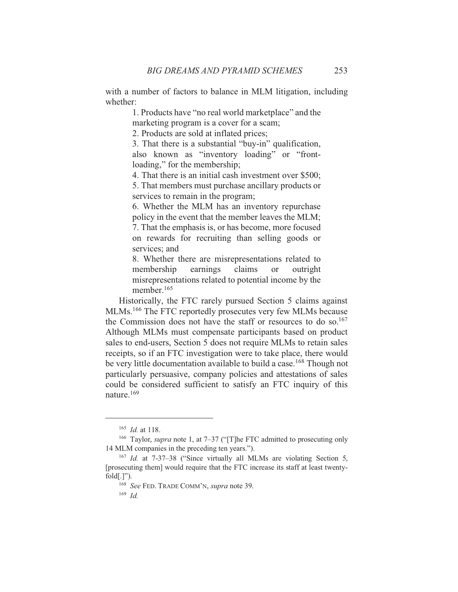with a number of factors to balance in MLM litigation, including whether:

> 1. Products have "no real world marketplace" and the marketing program is a cover for a scam;

2. Products are sold at inflated prices;

3. That there is a substantial "buy-in" qualification, also known as "inventory loading" or "frontloading," for the membership;

4. That there is an initial cash investment over \$500;

5. That members must purchase ancillary products or services to remain in the program;

6. Whether the MLM has an inventory repurchase policy in the event that the member leaves the MLM; 7. That the emphasis is, or has become, more focused on rewards for recruiting than selling goods or services: and

8. Whether there are misrepresentations related to membership earnings claims  $\alpha$ outright misrepresentations related to potential income by the member.<sup>165</sup>

Historically, the FTC rarely pursued Section 5 claims against MLMs, <sup>166</sup> The FTC reportedly prosecutes very few MLMs because the Commission does not have the staff or resources to do so.<sup>167</sup> Although MLMs must compensate participants based on product sales to end-users, Section 5 does not require MLMs to retain sales receipts, so if an FTC investigation were to take place, there would be very little documentation available to build a case.<sup>168</sup> Though not particularly persuasive, company policies and attestations of sales could be considered sufficient to satisfy an FTC inquiry of this nature.<sup>169</sup>

 $165$  *Id.* at 118.

<sup>&</sup>lt;sup>166</sup> Taylor, *supra* note 1, at  $7-37$  ("[T]he FTC admitted to prosecuting only 14 MLM companies in the preceding ten years.").

<sup>&</sup>lt;sup>167</sup> *Id.* at  $7-37-38$  ("Since virtually all MLMs are violating Section 5, [prosecuting them] would require that the FTC increase its staff at least twenty $fold[.]$ ").

<sup>&</sup>lt;sup>168</sup> See FED. TRADE COMM'N, supra note 39.

 $169$  *Id.*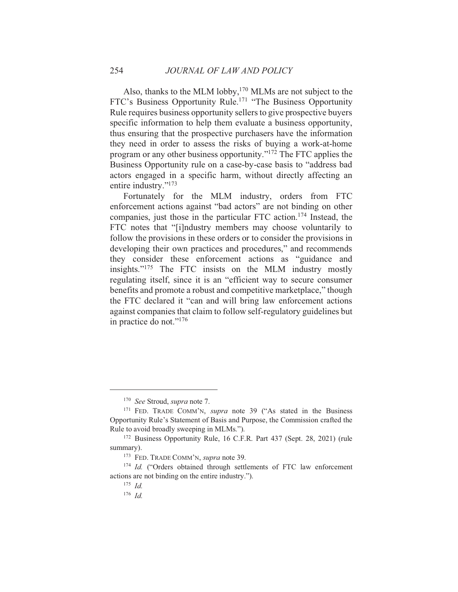Also, thanks to the MLM lobby,  $170$  MLMs are not subject to the FTC's Business Opportunity Rule.<sup>171</sup> "The Business Opportunity Rule requires business opportunity sellers to give prospective buyers specific information to help them evaluate a business opportunity, thus ensuring that the prospective purchasers have the information they need in order to assess the risks of buying a work-at-home program or any other business opportunity." $172$  The FTC applies the Business Opportunity rule on a case-by-case basis to "address bad actors engaged in a specific harm, without directly affecting an entire industry."<sup>173</sup>

Fortunately for the MLM industry, orders from FTC enforcement actions against "bad actors" are not binding on other companies, just those in the particular FTC action.<sup>174</sup> Instead, the FTC notes that "[i]ndustry members may choose voluntarily to follow the provisions in these orders or to consider the provisions in developing their own practices and procedures," and recommends they consider these enforcement actions as "guidance and insights."<sup>175</sup> The FTC insists on the MLM industry mostly regulating itself, since it is an "efficient way to secure consumer benefits and promote a robust and competitive marketplace," though the FTC declared it "can and will bring law enforcement actions" against companies that claim to follow self-regulatory guidelines but in practice do not."<sup>176</sup>

<sup>&</sup>lt;sup>170</sup> See Stroud, supra note 7.

<sup>&</sup>lt;sup>171</sup> FED. TRADE COMM'N, *supra* note 39 ("As stated in the Business Opportunity Rule's Statement of Basis and Purpose, the Commission crafted the Rule to avoid broadly sweeping in MLMs.").

<sup>&</sup>lt;sup>172</sup> Business Opportunity Rule, 16 C.F.R. Part 437 (Sept. 28, 2021) (rule summary).

<sup>&</sup>lt;sup>173</sup> FED. TRADE COMM'N, *supra* note 39.

<sup>&</sup>lt;sup>174</sup> Id. ("Orders obtained through settlements of FTC law enforcement actions are not binding on the entire industry.").

 $175$  *Id.* 

 $176$  Id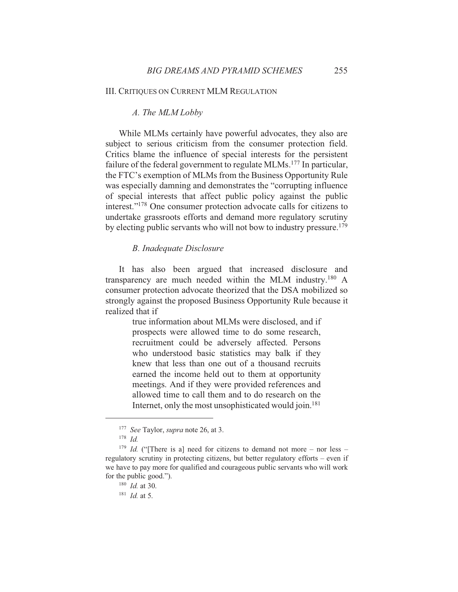#### **III. CRITIOUES ON CURRENT MLM REGULATION**

#### A. The MLM Lobby

While MLMs certainly have powerful advocates, they also are subject to serious criticism from the consumer protection field. Critics blame the influence of special interests for the persistent failure of the federal government to regulate MLMs.<sup>177</sup> In particular, the FTC's exemption of MLMs from the Business Opportunity Rule was especially damning and demonstrates the "corrupting influence" of special interests that affect public policy against the public interest."<sup>178</sup> One consumer protection advocate calls for citizens to undertake grassroots efforts and demand more regulatory scrutiny by electing public servants who will not bow to industry pressure.<sup>179</sup>

#### **B.** Inadequate Disclosure

It has also been argued that increased disclosure and transparency are much needed within the MLM industry.<sup>180</sup> A consumer protection advocate theorized that the DSA mobilized so strongly against the proposed Business Opportunity Rule because it realized that if

> true information about MLMs were disclosed, and if prospects were allowed time to do some research, recruitment could be adversely affected. Persons who understood basic statistics may balk if they knew that less than one out of a thousand recruits earned the income held out to them at opportunity meetings. And if they were provided references and allowed time to call them and to do research on the Internet, only the most unsophisticated would join.<sup>181</sup>

<sup>&</sup>lt;sup>177</sup> See Taylor, *supra* note 26, at 3.

 $178$  *Id.* 

<sup>&</sup>lt;sup>179</sup> *Id.* ("There is a] need for citizens to demand not more – nor less – regulatory scrutiny in protecting citizens, but better regulatory efforts – even if we have to pay more for qualified and courageous public servants who will work for the public good.").

 $180$  *Id.* at 30.

 $^{181}$  *Id* at 5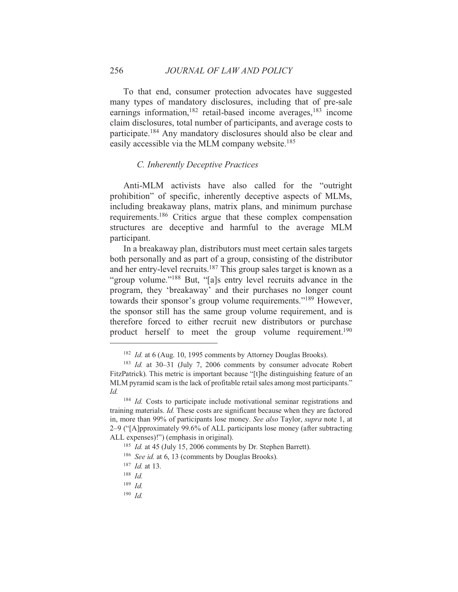To that end, consumer protection advocates have suggested many types of mandatory disclosures, including that of pre-sale earnings information,<sup>182</sup> retail-based income averages,<sup>183</sup> income claim disclosures, total number of participants, and average costs to participate.<sup>184</sup> Any mandatory disclosures should also be clear and easily accessible via the MLM company website.<sup>185</sup>

#### C. Inherently Deceptive Practices

Anti-MLM activists have also called for the "outright" prohibition" of specific, inherently deceptive aspects of MLMs, including breakaway plans, matrix plans, and minimum purchase requirements.<sup>186</sup> Critics argue that these complex compensation structures are deceptive and harmful to the average MLM participant.

In a breakaway plan, distributors must meet certain sales targets both personally and as part of a group, consisting of the distributor and her entry-level recruits.<sup>187</sup> This group sales target is known as a "group volume."<sup>188</sup> But, "[a]s entry level recruits advance in the program, they 'breakaway' and their purchases no longer count towards their sponsor's group volume requirements."<sup>189</sup> However, the sponsor still has the same group volume requirement, and is therefore forced to either recruit new distributors or purchase product herself to meet the group volume requirement.<sup>190</sup>

 $190$  Id

<sup>&</sup>lt;sup>182</sup> Id. at 6 (Aug. 10, 1995 comments by Attorney Douglas Brooks).

<sup>&</sup>lt;sup>183</sup> Id. at 30–31 (July 7, 2006 comments by consumer advocate Robert FitzPatrick). This metric is important because "[t]he distinguishing feature of an MLM pyramid scam is the lack of profitable retail sales among most participants." Id.

 $184$  *Id.* Costs to participate include motivational seminar registrations and training materials. *Id*. These costs are significant because when they are factored in, more than 99% of participants lose money. See also Taylor, supra note 1, at 2–9 ("[A]pproximately 99.6% of ALL participants lose money (after subtracting ALL expenses)!") (emphasis in original).

<sup>&</sup>lt;sup>185</sup> *Id.* at 45 (July 15, 2006 comments by Dr. Stephen Barrett).

<sup>&</sup>lt;sup>186</sup> See id. at 6, 13 (comments by Douglas Brooks).

 $187$  *Id.* at 13.

 $188$  *Id.* 

 $189$  *Id.*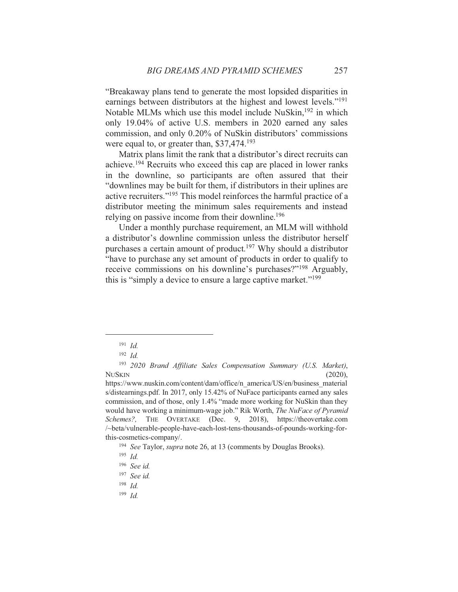"Breakaway plans tend to generate the most lopsided disparities in earnings between distributors at the highest and lowest levels."<sup>191</sup> Notable MLMs which use this model include NuSkin,<sup>192</sup> in which only 19.04% of active U.S. members in 2020 earned any sales commission, and only 0.20% of NuSkin distributors' commissions were equal to, or greater than,  $$37,474$ <sup>193</sup>

Matrix plans limit the rank that a distributor's direct recruits can achieve.<sup>194</sup> Recruits who exceed this cap are placed in lower ranks in the downline, so participants are often assured that their "downlines may be built for them, if distributors in their uplines are active recruiters."<sup>195</sup> This model reinforces the harmful practice of a distributor meeting the minimum sales requirements and instead relying on passive income from their downline.<sup>196</sup>

Under a monthly purchase requirement, an MLM will withhold a distributor's downline commission unless the distributor herself purchases a certain amount of product.<sup>197</sup> Why should a distributor "have to purchase any set amount of products in order to qualify to receive commissions on his downline's purchases?"<sup>198</sup> Arguably, this is "simply a device to ensure a large captive market."<sup>199</sup>

 $191$  *Id.* 

 $192$  *Id.* 

<sup>&</sup>lt;sup>193</sup> 2020 Brand Affiliate Sales Compensation Summary (U.S. Market), **NUSKIN**  $(2020)$ ,

https://www.nuskin.com/content/dam/office/n america/US/en/business material s/distearnings.pdf. In 2017, only 15.42% of NuFace participants earned any sales commission, and of those, only 1.4% "made more working for NuSkin than they would have working a minimum-wage job." Rik Worth, *The NuFace of Pyramid* Schemes?, THE OVERTAKE (Dec. 9, 2018), https://theovertake.com /~beta/vulnerable-people-have-each-lost-tens-thousands-of-pounds-working-forthis-cosmetics-company/.

<sup>&</sup>lt;sup>194</sup> See Taylor, *supra* note 26, at 13 (comments by Douglas Brooks).

 $195$  *Id.* 

 $196$  See id.

 $197$  See id.

 $198$  *Id.* 

 $199$  Id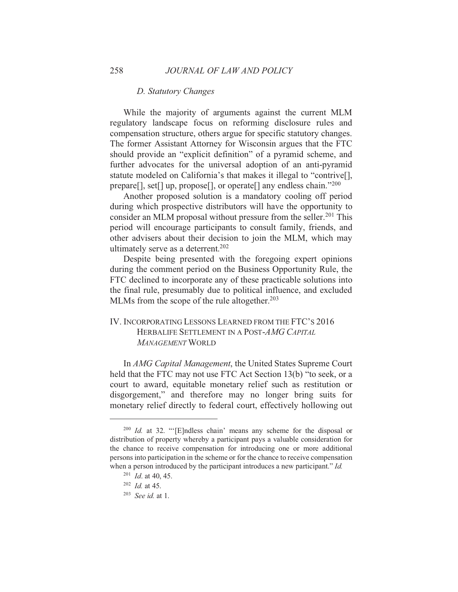#### D. Statutory Changes

While the majority of arguments against the current MLM regulatory landscape focus on reforming disclosure rules and compensation structure, others argue for specific statutory changes. The former Assistant Attorney for Wisconsin argues that the FTC should provide an "explicit definition" of a pyramid scheme, and further advocates for the universal adoption of an anti-pyramid statute modeled on California's that makes it illegal to "contrive[], prepare<sup>[]</sup>, set<sup>[]</sup> up, propose<sup>[]</sup>, or operate<sup>[]</sup> any endless chain."<sup>200</sup>

Another proposed solution is a mandatory cooling off period during which prospective distributors will have the opportunity to consider an MLM proposal without pressure from the seller.<sup>201</sup> This period will encourage participants to consult family, friends, and other advisers about their decision to join the MLM, which may ultimately serve as a deterrent.<sup>202</sup>

Despite being presented with the foregoing expert opinions during the comment period on the Business Opportunity Rule, the FTC declined to incorporate any of these practicable solutions into the final rule, presumably due to political influence, and excluded MLMs from the scope of the rule altogether.<sup>203</sup>

# IV. INCORPORATING LESSONS LEARNED FROM THE FTC'S 2016 HERBALIFE SETTLEMENT IN A POST-AMG CAPITAL **MANAGEMENT WORLD**

In AMG Capital Management, the United States Supreme Court held that the FTC may not use FTC Act Section 13(b) "to seek, or a court to award, equitable monetary relief such as restitution or disgorgement," and therefore may no longer bring suits for monetary relief directly to federal court, effectively hollowing out

 $^{200}$  *Id.* at 32. "'[E]ndless chain' means any scheme for the disposal or distribution of property whereby a participant pays a valuable consideration for the chance to receive compensation for introducing one or more additional persons into participation in the scheme or for the chance to receive compensation when a person introduced by the participant introduces a new participant." *Id.* 

 $201$  *Id.* at 40, 45.

 $202$  *Id.* at 45.

 $203$  *See id.* at 1.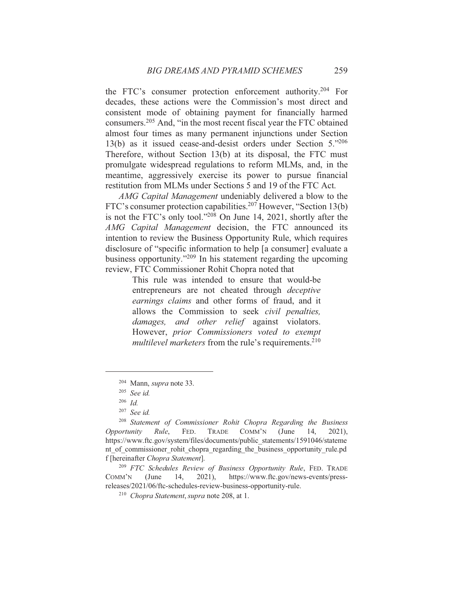the FTC's consumer protection enforcement authority.<sup>204</sup> For decades, these actions were the Commission's most direct and consistent mode of obtaining payment for financially harmed consumers.<sup>205</sup> And, "in the most recent fiscal year the FTC obtained almost four times as many permanent injunctions under Section 13(b) as it issued cease-and-desist orders under Section  $5.^{206}$ Therefore, without Section 13(b) at its disposal, the FTC must promulgate widespread regulations to reform MLMs, and, in the meantime, aggressively exercise its power to pursue financial restitution from MLMs under Sections 5 and 19 of the FTC Act.

AMG Capital Management undeniably delivered a blow to the FTC's consumer protection capabilities.<sup>207</sup> However, "Section 13(b) is not the FTC's only tool."<sup>208</sup> On June 14, 2021, shortly after the AMG Capital Management decision, the FTC announced its intention to review the Business Opportunity Rule, which requires disclosure of "specific information to help [a consumer] evaluate a business opportunity."<sup>209</sup> In his statement regarding the upcoming review, FTC Commissioner Rohit Chopra noted that

> This rule was intended to ensure that would-be entrepreneurs are not cheated through *deceptive* earnings claims and other forms of fraud, and it allows the Commission to seek *civil penalties*, damages, and other relief against violators. However, prior Commissioners voted to exempt *multilevel marketers* from the rule's requirements.<sup>210</sup>

<sup>209</sup> FTC Schedules Review of Business Opportunity Rule, FED. TRADE  $2021$ , COMM'N (June 14, https://www.ftc.gov/news-events/pressreleases/2021/06/ftc-schedules-review-business-opportunity-rule.

 $204$  Mann, *supra* note 33.

 $205$  See id.

 $206$  *Id.* 

 $207$  See id.

<sup>&</sup>lt;sup>208</sup> Statement of Commissioner Rohit Chopra Regarding the Business Opportunity Rule, FED. **TRADE** COMM'N (June 14,  $2021$ , https://www.ftc.gov/system/files/documents/public statements/1591046/stateme nt of commissioner rohit chopra regarding the business opportunity rule, pd f [hereinafter Chopra Statement].

<sup>&</sup>lt;sup>210</sup> Chopra Statement, supra note 208, at 1.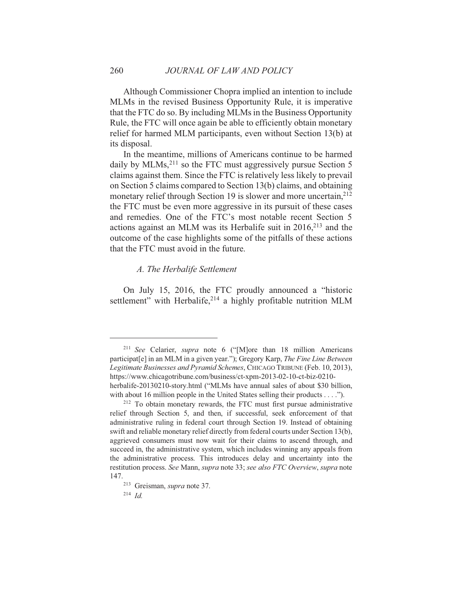Although Commissioner Chopra implied an intention to include MLMs in the revised Business Opportunity Rule, it is imperative that the FTC do so. By including MLMs in the Business Opportunity Rule, the FTC will once again be able to efficiently obtain monetary relief for harmed MLM participants, even without Section 13(b) at its disposal.

In the meantime, millions of Americans continue to be harmed daily by MLMs,  $2^{11}$  so the FTC must aggressively pursue Section 5 claims against them. Since the FTC is relatively less likely to prevail on Section 5 claims compared to Section 13(b) claims, and obtaining monetary relief through Section 19 is slower and more uncertain,<sup>212</sup> the FTC must be even more aggressive in its pursuit of these cases and remedies. One of the FTC's most notable recent Section 5 actions against an MLM was its Herbalife suit in  $2016<sub>1</sub><sup>213</sup>$  and the outcome of the case highlights some of the pitfalls of these actions that the FTC must avoid in the future.

#### A. The Herbalife Settlement

On July 15, 2016, the FTC proudly announced a "historic settlement" with Herbalife,<sup>214</sup> a highly profitable nutrition MLM

<sup>&</sup>lt;sup>211</sup> See Celarier, *supra* note 6 ("[M] ore than 18 million Americans participat<sup>[e]</sup> in an MLM in a given year."); Gregory Karp, *The Fine Line Between* Legitimate Businesses and Pyramid Schemes, CHICAGO TRIBUNE (Feb. 10, 2013), https://www.chicagotribune.com/business/ct-xpm-2013-02-10-ct-biz-0210herbalife-20130210-story.html ("MLMs have annual sales of about \$30 billion, with about 16 million people in the United States selling their products . . . .").

<sup>&</sup>lt;sup>212</sup> To obtain monetary rewards, the FTC must first pursue administrative relief through Section 5, and then, if successful, seek enforcement of that administrative ruling in federal court through Section 19. Instead of obtaining swift and reliable monetary relief directly from federal courts under Section 13(b), aggrieved consumers must now wait for their claims to ascend through, and succeed in, the administrative system, which includes winning any appeals from the administrative process. This introduces delay and uncertainty into the restitution process. See Mann, *supra* note 33; see also FTC Overview, *supra* note 147.

<sup>&</sup>lt;sup>213</sup> Greisman, *supra* note 37.

 $214$  Id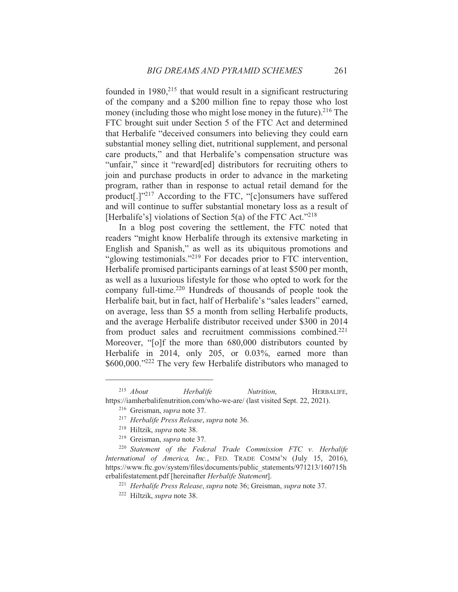founded in  $1980$ <sup>215</sup> that would result in a significant restructuring of the company and a \$200 million fine to repay those who lost money (including those who might lose money in the future).<sup>216</sup> The FTC brought suit under Section 5 of the FTC Act and determined that Herbalife "deceived consumers into believing they could earn substantial money selling diet, nutritional supplement, and personal care products," and that Herbalife's compensation structure was "unfair," since it "reward[ed] distributors for recruiting others to join and purchase products in order to advance in the marketing program, rather than in response to actual retail demand for the product<sup>[1]</sup><sup>217</sup> According to the FTC, "[c]onsumers have suffered and will continue to suffer substantial monetary loss as a result of [Herbalife's] violations of Section 5(a) of the FTC Act."<sup>218</sup>

In a blog post covering the settlement, the FTC noted that readers "might know Herbalife through its extensive marketing in English and Spanish," as well as its ubiquitous promotions and "glowing testimonials."<sup>219</sup> For decades prior to FTC intervention. Herbalife promised participants earnings of at least \$500 per month, as well as a luxurious lifestyle for those who opted to work for the company full-time.<sup>220</sup> Hundreds of thousands of people took the Herbalife bait, but in fact, half of Herbalife's "sales leaders" earned, on average, less than \$5 a month from selling Herbalife products, and the average Herbalife distributor received under \$300 in 2014 from product sales and recruitment commissions combined.<sup>221</sup> Moreover, "[o]f the more than 680,000 distributors counted by Herbalife in 2014, only 205, or 0.03%, earned more than \$600,000."222 The very few Herbalife distributors who managed to

 $215$  About Herbalife Nutrition, HERBALIFE, https://iamherbalifenutrition.com/who-we-are/ (last visited Sept. 22, 2021).

<sup>&</sup>lt;sup>216</sup> Greisman, *supra* note 37.

<sup>&</sup>lt;sup>217</sup> Herbalife Press Release, supra note 36.

<sup>&</sup>lt;sup>218</sup> Hiltzik, *supra* note 38.

<sup>&</sup>lt;sup>219</sup> Greisman, *supra* note 37.

<sup>&</sup>lt;sup>220</sup> Statement of the Federal Trade Commission FTC v. Herbalife International of America, Inc., FED. TRADE COMM'N (July 15, 2016), https://www.ftc.gov/system/files/documents/public\_statements/971213/160715h erbalifestatement.pdf [hereinafter Herbalife Statement].

<sup>&</sup>lt;sup>221</sup> Herbalife Press Release, supra note 36; Greisman, supra note 37.

<sup>&</sup>lt;sup>222</sup> Hiltzik, *supra* note 38.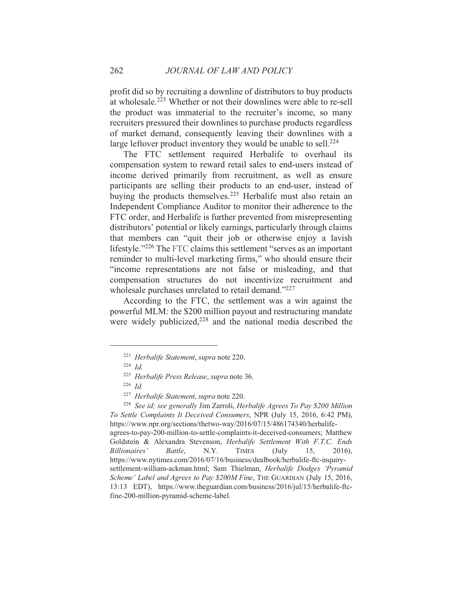profit did so by recruiting a downline of distributors to buy products at wholesale.<sup>223</sup> Whether or not their downlines were able to re-sell the product was immaterial to the recruiter's income, so many recruiters pressured their downlines to purchase products regardless of market demand, consequently leaving their downlines with a large leftover product inventory they would be unable to sell.<sup>224</sup>

The FTC settlement required Herbalife to overhaul its compensation system to reward retail sales to end-users instead of income derived primarily from recruitment, as well as ensure participants are selling their products to an end-user, instead of buying the products themselves.<sup>225</sup> Herbalife must also retain an Independent Compliance Auditor to monitor their adherence to the FTC order, and Herbalife is further prevented from misrepresenting distributors' potential or likely earnings, particularly through claims that members can "quit their job or otherwise enjoy a lavish lifestyle."<sup>226</sup> The FTC claims this settlement "serves as an important reminder to multi-level marketing firms," who should ensure their "income representations are not false or misleading, and that compensation structures do not incentivize recruitment and wholesale purchases unrelated to retail demand."227

According to the FTC, the settlement was a win against the powerful MLM: the \$200 million payout and restructuring mandate were widely publicized.<sup>228</sup> and the national media described the

<sup>&</sup>lt;sup>223</sup> Herbalife Statement, supra note 220.

 $224 \text{ Id}$ 

<sup>&</sup>lt;sup>225</sup> Herbalife Press Release, supra note 36.

 $226$  *Id.* 

<sup>&</sup>lt;sup>227</sup> Herbalife Statement, supra note 220.

<sup>&</sup>lt;sup>228</sup> See id; see generally Jim Zarroli, *Herbalife Agrees To Pay \$200 Million* To Settle Complaints It Deceived Consumers, NPR (July 15, 2016, 6:42 PM), https://www.npr.org/sections/thetwo-way/2016/07/15/486174340/herbalifeagrees-to-pay-200-million-to-settle-complaints-it-deceived-consumers; Matthew Goldstein & Alexandra Stevenson, Herbalife Settlement With F.T.C. Ends Billionaires' Battle.  $N.Y.$ **TIMES**  $($ July  $15.$  $2016$ ). https://www.nytimes.com/2016/07/16/business/dealbook/herbalife-ftc-inquirysettlement-william-ackman.html; Sam Thielman, Herbalife Dodges 'Pyramid Scheme' Label and Agrees to Pay \$200M Fine, THE GUARDIAN (July 15, 2016, 13:13 EDT), https://www.theguardian.com/business/2016/jul/15/herbalife-ftcfine-200-million-pyramid-scheme-label.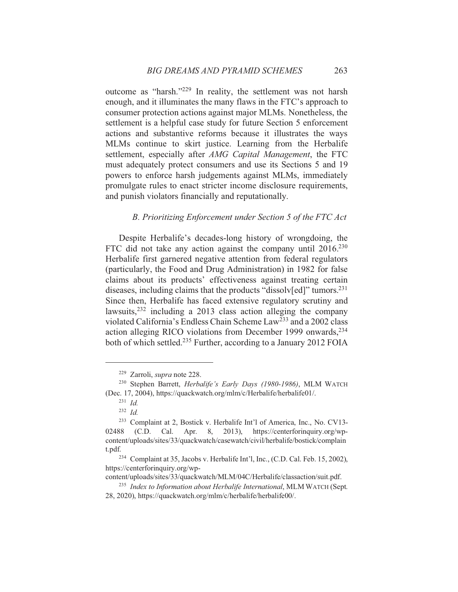outcome as "harsh."<sup>229</sup> In reality, the settlement was not harsh enough, and it illuminates the many flaws in the FTC's approach to consumer protection actions against major MLMs. Nonetheless, the settlement is a helpful case study for future Section 5 enforcement actions and substantive reforms because it illustrates the ways MLMs continue to skirt justice. Learning from the Herbalife settlement, especially after AMG Capital Management, the FTC must adequately protect consumers and use its Sections 5 and 19 powers to enforce harsh judgements against MLMs, immediately promulgate rules to enact stricter income disclosure requirements, and punish violators financially and reputationally.

#### B. Prioritizing Enforcement under Section 5 of the FTC Act

Despite Herbalife's decades-long history of wrongdoing, the FTC did not take any action against the company until  $2016^{230}$ Herbalife first garnered negative attention from federal regulators (particularly, the Food and Drug Administration) in 1982 for false claims about its products' effectiveness against treating certain diseases, including claims that the products "dissolv[ed]" tumors.<sup>231</sup> Since then, Herbalife has faced extensive regulatory scrutiny and lawsuits,  $232$  including a 2013 class action alleging the company violated California's Endless Chain Scheme Law<sup>233</sup> and a 2002 class action alleging RICO violations from December 1999 onwards,<sup>234</sup> both of which settled.<sup>235</sup> Further, according to a January 2012 FOIA

<sup>&</sup>lt;sup>229</sup> Zarroli, *supra* note 228.

<sup>&</sup>lt;sup>230</sup> Stephen Barrett, *Herbalife's Early Days (1980-1986)*, MLM WATCH (Dec. 17, 2004), https://quackwatch.org/mlm/c/Herbalife/herbalife01/.

 $^{231}$  *Id.* 

 $232$  *Id.* 

<sup>&</sup>lt;sup>233</sup> Complaint at 2, Bostick v. Herbalife Int'l of America, Inc., No. CV13-02488  $(C.D.$ Cal. Apr. 8, 2013), https://centerforinguiry.org/wpcontent/uploads/sites/33/quackwatch/casewatch/civil/herbalife/bostick/complain t.pdf.

<sup>&</sup>lt;sup>234</sup> Complaint at 35, Jacobs v. Herbalife Int'l, Inc., (C.D. Cal. Feb. 15, 2002), https://centerforinguiry.org/wp-

content/uploads/sites/33/quackwatch/MLM/04C/Herbalife/classaction/suit.pdf.

<sup>&</sup>lt;sup>235</sup> Index to Information about Herbalife International, MLM WATCH (Sept. 28, 2020), https://quackwatch.org/mlm/c/herbalife/herbalife00/.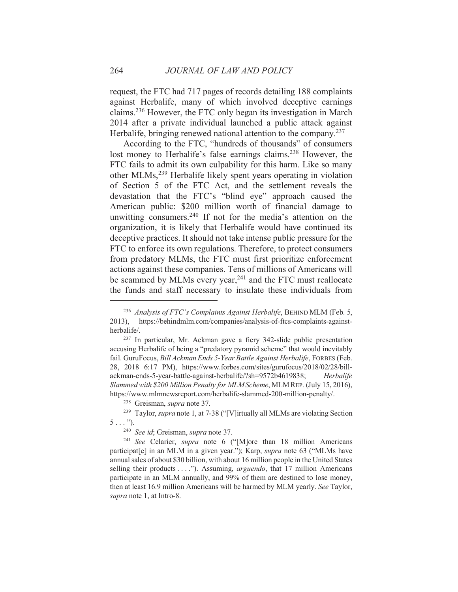request, the FTC had 717 pages of records detailing 188 complaints against Herbalife, many of which involved deceptive earnings claims.<sup>236</sup> However, the FTC only began its investigation in March 2014 after a private individual launched a public attack against Herbalife, bringing renewed national attention to the company.<sup>237</sup>

According to the FTC, "hundreds of thousands" of consumers lost money to Herbalife's false earnings claims.<sup>238</sup> However, the FTC fails to admit its own culpability for this harm. Like so many other MLMs,<sup>239</sup> Herbalife likely spent years operating in violation of Section 5 of the FTC Act, and the settlement reveals the devastation that the FTC's "blind eye" approach caused the American public: \$200 million worth of financial damage to unwitting consumers.<sup>240</sup> If not for the media's attention on the organization, it is likely that Herbalife would have continued its deceptive practices. It should not take intense public pressure for the FTC to enforce its own regulations. Therefore, to protect consumers from predatory MLMs, the FTC must first prioritize enforcement actions against these companies. Tens of millions of Americans will be scammed by MLMs every year,<sup>241</sup> and the FTC must reallocate the funds and staff necessary to insulate these individuals from

<sup>&</sup>lt;sup>236</sup> Analysis of FTC's Complaints Against Herbalife, BEHIND MLM (Feb. 5,  $2013$ , https://behindmlm.com/companies/analysis-of-ftcs-complaints-againstherbalife/.

<sup>&</sup>lt;sup>237</sup> In particular, Mr. Ackman gave a fiery 342-slide public presentation accusing Herbalife of being a "predatory pyramid scheme" that would inevitably fail. GuruFocus, Bill Ackman Ends 5-Year Battle Against Herbalife, FORBES (Feb. 28, 2018 6:17 PM), https://www.forbes.com/sites/gurufocus/2018/02/28/billackman-ends-5-year-battle-against-herbalife/?sh=9572b4619838; Herbalife Slammed with \$200 Million Penalty for MLM Scheme, MLM REP. (July 15, 2016), https://www.mlmnewsreport.com/herbalife-slammed-200-million-penalty/.

<sup>&</sup>lt;sup>238</sup> Greisman, *supra* note 37.

<sup>&</sup>lt;sup>239</sup> Taylor, *supra* note 1, at 7-38 ("[V]irtually all MLMs are violating Section  $5 \ldots$ ").

<sup>&</sup>lt;sup>240</sup> See id; Greisman, supra note 37.

<sup>&</sup>lt;sup>241</sup> See Celarier, *supra* note 6 ("[M]ore than 18 million Americans participat<sup>[e]</sup> in an MLM in a given year."); Karp, *supra* note 63 ("MLMs have annual sales of about \$30 billion, with about 16 million people in the United States selling their products . . . ."). Assuming, *arguendo*, that 17 million Americans participate in an MLM annually, and 99% of them are destined to lose money, then at least 16.9 million Americans will be harmed by MLM yearly. See Taylor, supra note 1, at Intro-8.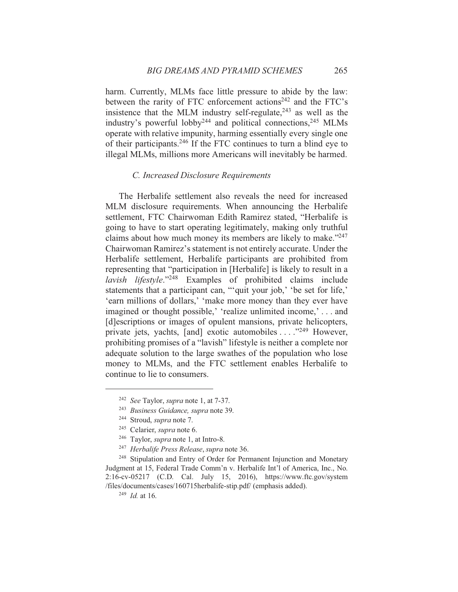harm. Currently, MLMs face little pressure to abide by the law: between the rarity of FTC enforcement actions<sup>242</sup> and the FTC's insistence that the MLM industry self-regulate,  $243$  as well as the industry's powerful lobby<sup>244</sup> and political connections,<sup>245</sup> MLMs operate with relative impunity, harming essentially every single one of their participants.<sup>246</sup> If the FTC continues to turn a blind eye to illegal MLMs, millions more Americans will inevitably be harmed.

#### C. Increased Disclosure Requirements

The Herbalife settlement also reveals the need for increased MLM disclosure requirements. When announcing the Herbalife settlement, FTC Chairwoman Edith Ramirez stated, "Herbalife is going to have to start operating legitimately, making only truthful claims about how much money its members are likely to make."<sup>247</sup> Chairwoman Ramirez's statement is not entirely accurate. Under the Herbalife settlement, Herbalife participants are prohibited from representing that "participation in [Herbalife] is likely to result in a *lavish lifestyle*."<sup>248</sup> Examples of prohibited claims include statements that a participant can, ""quit your job," be set for life," 'earn millions of dollars,' 'make more money than they ever have imagined or thought possible,' 'realize unlimited income,' . . . and [d]escriptions or images of opulent mansions, private helicopters, private jets, yachts, [and] exotic automobiles . . . . "249 However, prohibiting promises of a "lavish" lifestyle is neither a complete nor adequate solution to the large swathes of the population who lose money to MLMs, and the FTC settlement enables Herbalife to continue to lie to consumers.

<sup>243</sup> Business Guidance, supra note 39.

<sup>&</sup>lt;sup>242</sup> See Taylor, supra note 1, at 7-37.

<sup>&</sup>lt;sup>244</sup> Stroud, *supra* note 7.

<sup>&</sup>lt;sup>245</sup> Celarier, *supra* note 6.

<sup>&</sup>lt;sup>246</sup> Taylor, *supra* note 1, at Intro-8.

<sup>&</sup>lt;sup>247</sup> Herbalife Press Release, supra note 36.

<sup>&</sup>lt;sup>248</sup> Stipulation and Entry of Order for Permanent Injunction and Monetary Judgment at 15, Federal Trade Comm'n v. Herbalife Int'l of America, Inc., No. 2:16-cv-05217 (C.D. Cal. July 15, 2016), https://www.ftc.gov/system /files/documents/cases/160715herbalife-stip.pdf/ (emphasis added).

 $^{249}$  *Id.* at 16.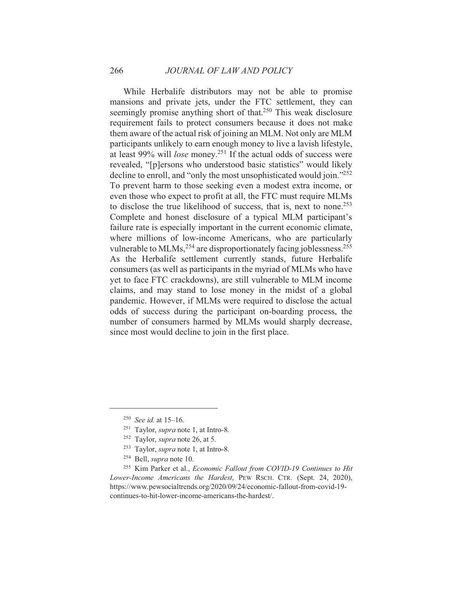While Herbalife distributors may not be able to promise mansions and private jets, under the FTC settlement, they can seemingly promise anything short of that.<sup>250</sup> This weak disclosure requirement fails to protect consumers because it does not make them aware of the actual risk of joining an MLM. Not only are MLM participants unlikely to earn enough money to live a lavish lifestyle, at least 99% will *lose* money.<sup>251</sup> If the actual odds of success were revealed, "[p]ersons who understood basic statistics" would likely decline to enroll, and "only the most unsophisticated would join."<sup>252</sup> To prevent harm to those seeking even a modest extra income, or even those who expect to profit at all, the FTC must require MLMs to disclose the true likelihood of success, that is, next to none.<sup>253</sup> Complete and honest disclosure of a typical MLM participant's failure rate is especially important in the current economic climate, where millions of low-income Americans, who are particularly vulnerable to MLMs,<sup>254</sup> are disproportionately facing joblessness.<sup>255</sup> As the Herbalife settlement currently stands, future Herbalife consumers (as well as participants in the myriad of MLMs who have yet to face FTC crackdowns), are still vulnerable to MLM income claims, and may stand to lose money in the midst of a global pandemic. However, if MLMs were required to disclose the actual odds of success during the participant on-boarding process, the number of consumers harmed by MLMs would sharply decrease, since most would decline to join in the first place.

 $250$  See id. at 15-16.

<sup>&</sup>lt;sup>251</sup> Taylor, *supra* note 1, at Intro-8.

<sup>&</sup>lt;sup>252</sup> Taylor, *supra* note 26, at 5.

<sup>&</sup>lt;sup>253</sup> Taylor, *supra* note 1, at Intro-8.

<sup>&</sup>lt;sup>254</sup> Bell, *supra* note 10.

<sup>&</sup>lt;sup>255</sup> Kim Parker et al., *Economic Fallout from COVID-19 Continues to Hit* Lower-Income Americans the Hardest, PEW RSCH. CTR. (Sept. 24, 2020), https://www.pewsocialtrends.org/2020/09/24/economic-fallout-from-covid-19continues-to-hit-lower-income-americans-the-hardest/.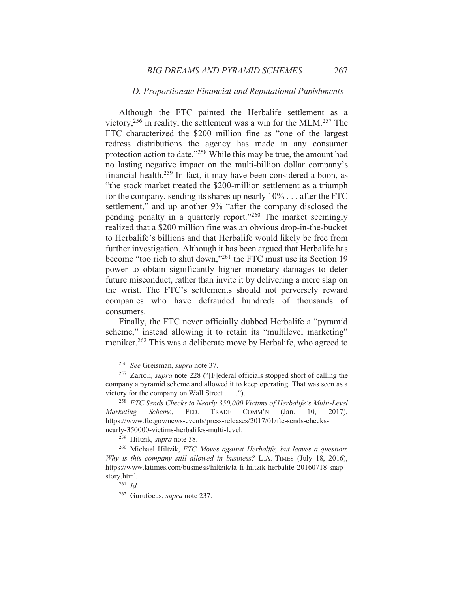#### D. Proportionate Financial and Reputational Punishments

Although the FTC painted the Herbalife settlement as a victory,  $256$  in reality, the settlement was a win for the MLM. $257$  The FTC characterized the \$200 million fine as "one of the largest redress distributions the agency has made in any consumer protection action to date."258 While this may be true, the amount had no lasting negative impact on the multi-billion dollar company's financial health.<sup>259</sup> In fact, it may have been considered a boon, as "the stock market treated the \$200-million settlement as a triumph for the company, sending its shares up nearly  $10\%$ ... after the FTC settlement," and up another 9% "after the company disclosed the pending penalty in a quarterly report."260 The market seemingly realized that a \$200 million fine was an obvious drop-in-the-bucket to Herbalife's billions and that Herbalife would likely be free from further investigation. Although it has been argued that Herbalife has become "too rich to shut down,"<sup>261</sup> the FTC must use its Section 19 power to obtain significantly higher monetary damages to deter future misconduct, rather than invite it by delivering a mere slap on the wrist. The FTC's settlements should not perversely reward companies who have defrauded hundreds of thousands of consumers.

Finally, the FTC never officially dubbed Herbalife a "pyramid" scheme," instead allowing it to retain its "multilevel marketing" moniker.<sup>262</sup> This was a deliberate move by Herbalife, who agreed to

<sup>&</sup>lt;sup>256</sup> See Greisman, *supra* note 37.

<sup>&</sup>lt;sup>257</sup> Zarroli, *supra* note 228 ("[F]ederal officials stopped short of calling the company a pyramid scheme and allowed it to keep operating. That was seen as a victory for the company on Wall Street . . . .").

<sup>&</sup>lt;sup>258</sup> FTC Sends Checks to Nearly 350,000 Victims of Herbalife's Multi-Level **Marketing** Scheme, FED. TRADE COMM'N  $(Jan.$  $10,$  $2017$ ), https://www.ftc.gov/news-events/press-releases/2017/01/ftc-sends-checksnearly-350000-victims-herbalifes-multi-level.

<sup>&</sup>lt;sup>259</sup> Hiltzik, *supra* note 38.

<sup>&</sup>lt;sup>260</sup> Michael Hiltzik, FTC Moves against Herbalife, but leaves a question: Why is this company still allowed in business? L.A. TIMES (July 18, 2016), https://www.latimes.com/business/hiltzik/la-fi-hiltzik-herbalife-20160718-snapstory.html.

 $261$  *Id.* 

<sup>&</sup>lt;sup>262</sup> Gurufocus, *supra* note 237.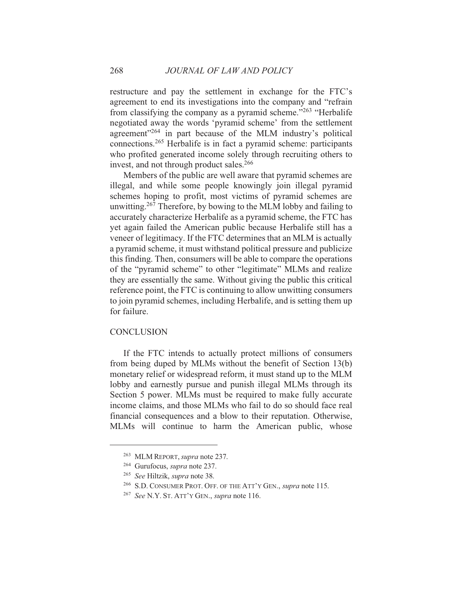restructure and pay the settlement in exchange for the FTC's agreement to end its investigations into the company and "refrain from classifying the company as a pyramid scheme."263 "Herbalife negotiated away the words 'pyramid scheme' from the settlement agreement"<sup>264</sup> in part because of the MLM industry's political connections.<sup>265</sup> Herbalife is in fact a pyramid scheme: participants who profited generated income solely through recruiting others to invest, and not through product sales.<sup>266</sup>

Members of the public are well aware that pyramid schemes are illegal, and while some people knowingly join illegal pyramid schemes hoping to profit, most victims of pyramid schemes are unwitting.<sup>267</sup> Therefore, by bowing to the MLM lobby and failing to accurately characterize Herbalife as a pyramid scheme, the FTC has yet again failed the American public because Herbalife still has a veneer of legitimacy. If the FTC determines that an MLM is actually a pyramid scheme, it must withstand political pressure and publicize this finding. Then, consumers will be able to compare the operations of the "pyramid scheme" to other "legitimate" MLMs and realize they are essentially the same. Without giving the public this critical reference point, the FTC is continuing to allow unwitting consumers to join pyramid schemes, including Herbalife, and is setting them up for failure.

#### **CONCLUSION**

If the FTC intends to actually protect millions of consumers from being duped by MLMs without the benefit of Section 13(b) monetary relief or widespread reform, it must stand up to the MLM lobby and earnestly pursue and punish illegal MLMs through its Section 5 power. MLMs must be required to make fully accurate income claims, and those MLMs who fail to do so should face real financial consequences and a blow to their reputation. Otherwise, MLMs will continue to harm the American public, whose

<sup>&</sup>lt;sup>263</sup> MLM REPORT, *supra* note 237.

<sup>&</sup>lt;sup>264</sup> Gurufocus, *supra* note 237.

<sup>&</sup>lt;sup>265</sup> See Hiltzik, supra note 38.

<sup>&</sup>lt;sup>266</sup> S.D. CONSUMER PROT. OFF. OF THE ATT'Y GEN., *supra* note 115.

<sup>&</sup>lt;sup>267</sup> See N.Y. St. ATT'Y GEN., *supra* note 116.